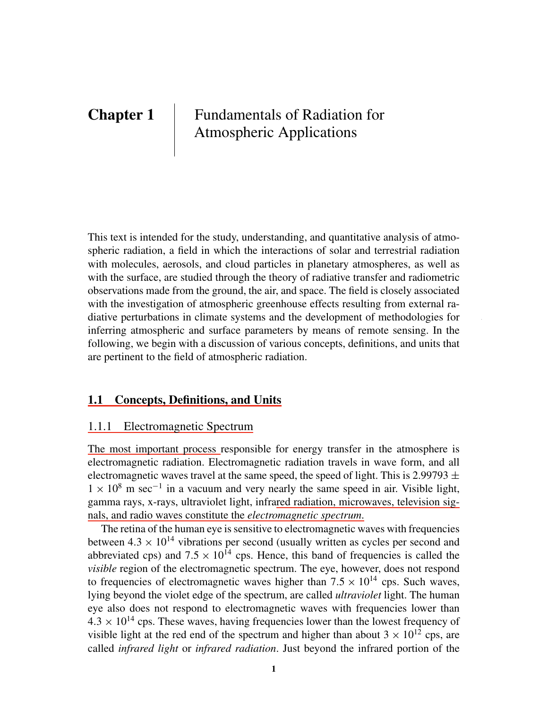# **Chapter 1** Fundamentals of Radiation for Atmospheric Applications

This text is intended for the study, understanding, and quantitative analysis of atmospheric radiation, a field in which the interactions of solar and terrestrial radiation with molecules, aerosols, and cloud particles in planetary atmospheres, as well as with the surface, are studied through the theory of radiative transfer and radiometric observations made from the ground, the air, and space. The field is closely associated with the investigation of atmospheric greenhouse effects resulting from external radiative perturbations in climate systems and the development of methodologies for inferring atmospheric and surface parameters by means of remote sensing. In the following, we begin with a discussion of various concepts, definitions, and units that are pertinent to the field of atmospheric radiation.

# **1.1 Concepts, Definitions, and Units**

# 1.1.1 Electromagnetic Spectrum

The most important process responsible for energy transfer in the atmosphere is electromagnetic radiation. Electromagnetic radiation travels in wave form, and all electromagnetic waves travel at the same speed, the speed of light. This is 2.99793  $\pm$  $1 \times 10^8$  m sec<sup>-1</sup> in a vacuum and very nearly the same speed in air. Visible light, gamma rays, x-rays, ultraviolet light, infrared radiation, microwaves, television signals, and radio waves constitute the *electromagnetic spectrum*.

The retina of the human eye is sensitive to electromagnetic waves with frequencies between  $4.3 \times 10^{14}$  vibrations per second (usually written as cycles per second and abbreviated cps) and  $7.5 \times 10^{14}$  cps. Hence, this band of frequencies is called the *visible* region of the electromagnetic spectrum. The eye, however, does not respond to frequencies of electromagnetic waves higher than  $7.5 \times 10^{14}$  cps. Such waves, lying beyond the violet edge of the spectrum, are called *ultraviolet* light. The human eye also does not respond to electromagnetic waves with frequencies lower than  $4.3 \times 10^{14}$  cps. These waves, having frequencies lower than the lowest frequency of visible light at the red end of the spectrum and higher than about  $3 \times 10^{12}$  cps, are called *infrared light* or *infrared radiation*. Just beyond the infrared portion of the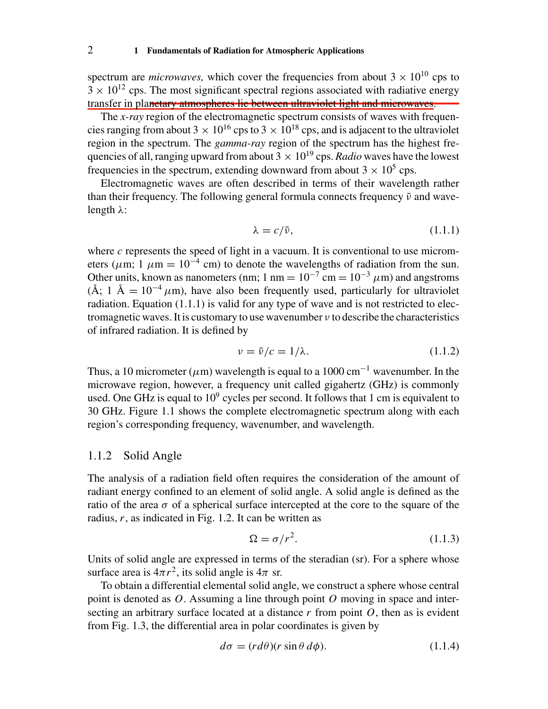### 2 **1 Fundamentals of Radiation for Atmospheric Applications**

spectrum are *microwaves*, which cover the frequencies from about  $3 \times 10^{10}$  cps to  $3 \times 10^{12}$  cps. The most significant spectral regions associated with radiative energy transfer in planetary atmospheres lie between ultraviolet light and microwaves.

The *x-ray* region of the electromagnetic spectrum consists of waves with frequencies ranging from about  $3 \times 10^{16}$  cps to  $3 \times 10^{18}$  cps, and is adjacent to the ultraviolet region in the spectrum. The *gamma-ray* region of the spectrum has the highest frequencies of all, ranging upward from about  $3 \times 10^{19}$  cps. *Radio* waves have the lowest frequencies in the spectrum, extending downward from about  $3 \times 10^5$  cps.

Electromagnetic waves are often described in terms of their wavelength rather than their frequency. The following general formula connects frequency  $\tilde{v}$  and wavelength λ:

$$
\lambda = c/\tilde{\nu},\tag{1.1.1}
$$

where *c* represents the speed of light in a vacuum. It is conventional to use micrometers ( $\mu$ m; 1  $\mu$ m = 10<sup>-4</sup> cm) to denote the wavelengths of radiation from the sun. Other units, known as nanometers (nm; 1 nm =  $10^{-7}$  cm =  $10^{-3}$   $\mu$ m) and angstroms (Å; 1 Å =  $10^{-4} \mu$ m), have also been frequently used, particularly for ultraviolet radiation. Equation (1.1.1) is valid for any type of wave and is not restricted to electromagnetic waves. It is customary to use wavenumber  $\nu$  to describe the characteristics of infrared radiation. It is defined by

$$
\nu = \tilde{\nu}/c = 1/\lambda. \tag{1.1.2}
$$

Thus, a 10 micrometer ( $\mu$ m) wavelength is equal to a 1000 cm<sup>-1</sup> wavenumber. In the microwave region, however, a frequency unit called gigahertz (GHz) is commonly used. One GHz is equal to  $10^9$  cycles per second. It follows that 1 cm is equivalent to 30 GHz. Figure 1.1 shows the complete electromagnetic spectrum along with each region's corresponding frequency, wavenumber, and wavelength.

# 1.1.2 Solid Angle

The analysis of a radiation field often requires the consideration of the amount of radiant energy confined to an element of solid angle. A solid angle is defined as the ratio of the area  $\sigma$  of a spherical surface intercepted at the core to the square of the radius, *r*, as indicated in Fig. 1.2. It can be written as

$$
\Omega = \sigma/r^2. \tag{1.1.3}
$$

Units of solid angle are expressed in terms of the steradian (sr). For a sphere whose surface area is  $4\pi r^2$ , its solid angle is  $4\pi$  sr.

To obtain a differential elemental solid angle, we construct a sphere whose central point is denoted as *O*. Assuming a line through point *O* moving in space and intersecting an arbitrary surface located at a distance *r* from point *O*, then as is evident from Fig. 1.3, the differential area in polar coordinates is given by

$$
d\sigma = (r d\theta)(r \sin \theta \, d\phi). \tag{1.1.4}
$$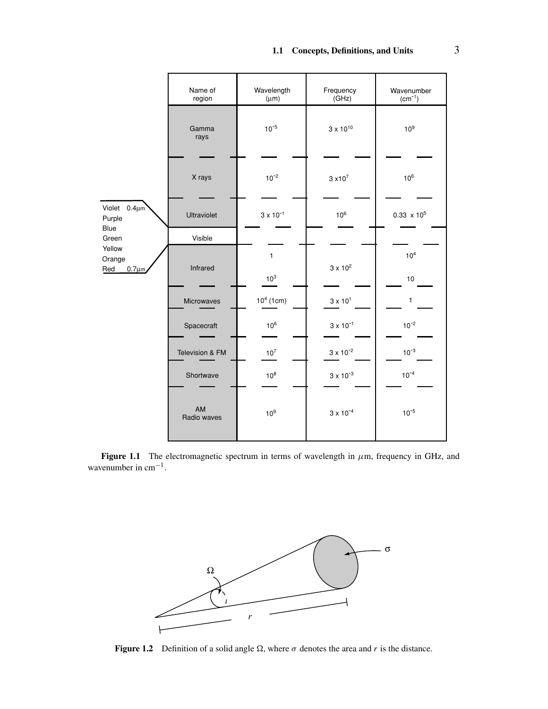| Violet 0.4um<br>Purple<br>Blue<br>Green<br>Yellow<br>Orange<br>$0.7 \mu m$<br>Red | Name of<br>region        | Wavelength<br>$(\mu m)$         | Frequency<br>(GHz) | Wavenumber<br>$(cm^{-1})$ |
|-----------------------------------------------------------------------------------|--------------------------|---------------------------------|--------------------|---------------------------|
|                                                                                   | Gamma<br>rays            | $10^{-5}$                       | $3 \times 10^{10}$ | 10 <sup>9</sup>           |
|                                                                                   | X rays                   | $10^{-2}$                       | $3 \times 10^7$    | 10 <sup>6</sup>           |
|                                                                                   | Ultraviolet              | $3 \times 10^{-1}$              | 10 <sup>6</sup>    | $0.33 \times 10^5$        |
|                                                                                   | Visible                  |                                 |                    |                           |
|                                                                                   | Infrared                 | $\mathbf{1}$<br>10 <sup>3</sup> | $3 \times 10^2$    | $10^4$<br>$10$            |
|                                                                                   | Microwaves               | $10^4$ (1cm)                    | $3 \times 10^1$    | 1                         |
|                                                                                   | Spacecraft               | 10 <sup>6</sup>                 | $3 \times 10^{-1}$ | $10^{-2}$                 |
|                                                                                   | Television & FM          | $10^7$                          | $3 \times 10^{-2}$ | $10^{-3}$                 |
|                                                                                   | Shortwave                | 10 <sup>8</sup>                 | $3 \times 10^{-3}$ | $10^{-4}$                 |
|                                                                                   | <b>AM</b><br>Radio waves | $10^9$                          | $3 \times 10^{-4}$ | $10^{-5}$                 |

**Figure 1.1** The electromagnetic spectrum in terms of wavelength in  $\mu$ m, frequency in GHz, and wavenumber in cm−1.



**Figure 1.2** Definition of a solid angle  $\Omega$ , where  $\sigma$  denotes the area and *r* is the distance.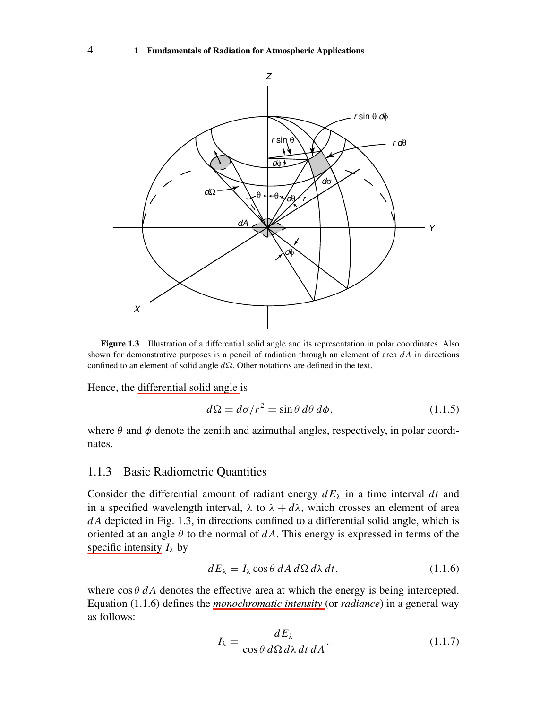

**Figure 1.3** Illustration of a differential solid angle and its representation in polar coordinates. Also shown for demonstrative purposes is a pencil of radiation through an element of area *d A* in directions confined to an element of solid angle  $d\Omega$ . Other notations are defined in the text.

Hence, the differential solid angle is

$$
d\Omega = d\sigma/r^2 = \sin\theta \, d\theta \, d\phi,\tag{1.1.5}
$$

where  $\theta$  and  $\phi$  denote the zenith and azimuthal angles, respectively, in polar coordinates.

#### 1.1.3 Basic Radiometric Quantities

Consider the differential amount of radiant energy  $dE<sub>\lambda</sub>$  in a time interval dt and in a specified wavelength interval,  $\lambda$  to  $\lambda + d\lambda$ , which crosses an element of area *d A* depicted in Fig. 1.3, in directions confined to a differential solid angle, which is oriented at an angle  $\theta$  to the normal of  $dA$ . This energy is expressed in terms of the specific intensity  $I_{\lambda}$  by

$$
dE_{\lambda} = I_{\lambda} \cos \theta \, dA \, d\Omega \, d\lambda \, dt,\tag{1.1.6}
$$

where  $\cos \theta dA$  denotes the effective area at which the energy is being intercepted. Equation (1.1.6) defines the *monochromatic intensity* (or *radiance*) in a general way as follows:

$$
I_{\lambda} = \frac{dE_{\lambda}}{\cos \theta \, d\Omega \, d\lambda \, dt \, dA}.
$$
 (1.1.7)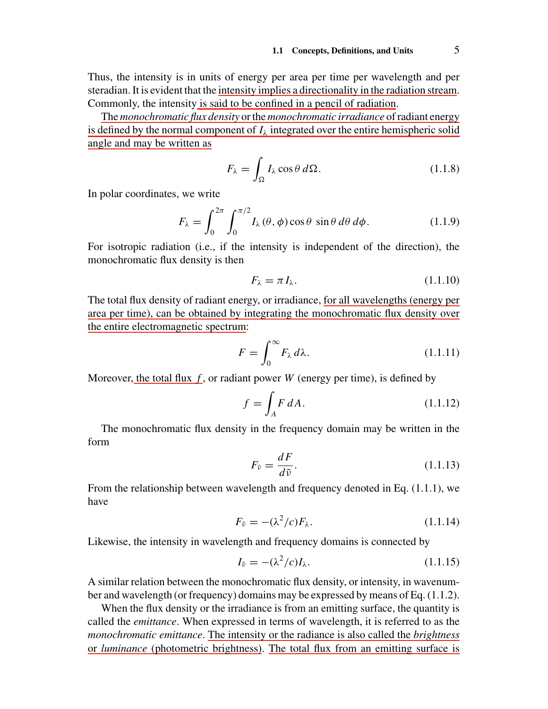Thus, the intensity is in units of energy per area per time per wavelength and per steradian. It is evident that the intensity implies a directionality in the radiation stream. Commonly, the intensity is said to be confined in a pencil of radiation.

The *monochromatic flux density* or the *monochromatic irradiance* of radiant energy is defined by the normal component of  $I_{\lambda}$  integrated over the entire hemispheric solid angle and may be written as

$$
F_{\lambda} = \int_{\Omega} I_{\lambda} \cos \theta \, d\Omega. \tag{1.1.8}
$$

In polar coordinates, we write

$$
F_{\lambda} = \int_0^{2\pi} \int_0^{\pi/2} I_{\lambda}(\theta, \phi) \cos \theta \sin \theta \, d\theta \, d\phi. \tag{1.1.9}
$$

For isotropic radiation (i.e., if the intensity is independent of the direction), the monochromatic flux density is then

$$
F_{\lambda} = \pi I_{\lambda}.
$$
\n<sup>(1.1.10)</sup>

The total flux density of radiant energy, or irradiance, for all wavelengths (energy per area per time), can be obtained by integrating the monochromatic flux density over the entire electromagnetic spectrum:

$$
F = \int_0^\infty F_\lambda \, d\lambda. \tag{1.1.11}
$$

Moreover, the total flux  $f$ , or radiant power *W* (energy per time), is defined by

$$
f = \int_{A} F \, dA. \tag{1.1.12}
$$

The monochromatic flux density in the frequency domain may be written in the form

$$
F_{\tilde{\nu}} = \frac{dF}{d\tilde{\nu}}.\tag{1.1.13}
$$

From the relationship between wavelength and frequency denoted in Eq. (1.1.1), we have

$$
F_{\tilde{\nu}} = -(\lambda^2/c)F_{\lambda}.\tag{1.1.14}
$$

Likewise, the intensity in wavelength and frequency domains is connected by

$$
I_{\tilde{\nu}} = -(\lambda^2/c)I_{\lambda}.
$$
\n(1.1.15)

A similar relation between the monochromatic flux density, or intensity, in wavenumber and wavelength (or frequency) domains may be expressed by means of Eq. (1.1.2).

When the flux density or the irradiance is from an emitting surface, the quantity is called the *emittance*. When expressed in terms of wavelength, it is referred to as the *monochromatic emittance*. The intensity or the radiance is also called the *brightness* or *luminance* (photometric brightness). The total flux from an emitting surface is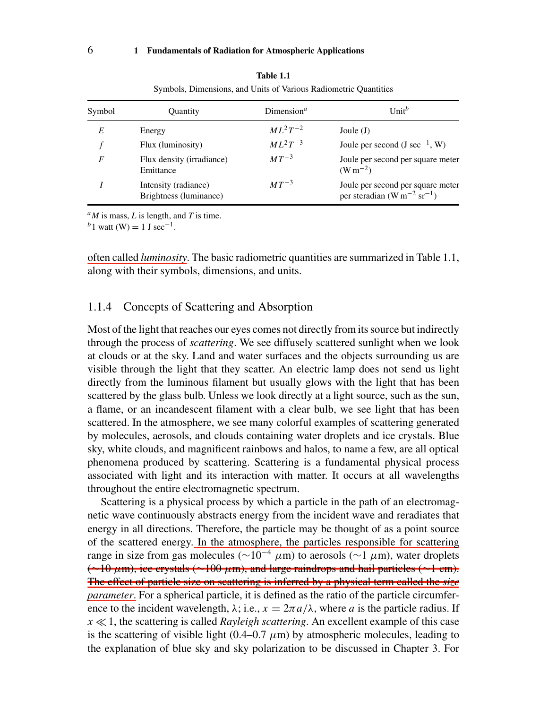| Symbol         | Quantity                                       | Dimension <sup><math>a</math></sup> | Unit <sup><math>b</math></sup>                                                           |
|----------------|------------------------------------------------|-------------------------------------|------------------------------------------------------------------------------------------|
| E              | Energy                                         | $MI^{2}T^{-2}$                      | Joule $(J)$                                                                              |
|                | Flux (luminosity)                              | $ML^{2}T^{-3}$                      | Joule per second $(J \sec^{-1}, W)$                                                      |
| $\overline{F}$ | Flux density (irradiance)<br>Emittance         | $MT^{-3}$                           | Joule per second per square meter<br>$(W m^{-2})$                                        |
|                | Intensity (radiance)<br>Brightness (luminance) | $MT^{-3}$                           | Joule per second per square meter<br>per steradian (W m <sup>-2</sup> sr <sup>-1</sup> ) |

**Table 1.1** Symbols, Dimensions, and Units of Various Radiometric Quantities

*aM* is mass, *L* is length, and *T* is time.

*b*<sup>1</sup> watt (W) = 1 J sec<sup>-1</sup>.

often called *luminosity*. The basic radiometric quantities are summarized in Table 1.1, along with their symbols, dimensions, and units.

### 1.1.4 Concepts of Scattering and Absorption

Most of the light that reaches our eyes comes not directly from its source but indirectly through the process of *scattering*. We see diffusely scattered sunlight when we look at clouds or at the sky. Land and water surfaces and the objects surrounding us are visible through the light that they scatter. An electric lamp does not send us light directly from the luminous filament but usually glows with the light that has been scattered by the glass bulb. Unless we look directly at a light source, such as the sun, a flame, or an incandescent filament with a clear bulb, we see light that has been scattered. In the atmosphere, we see many colorful examples of scattering generated by molecules, aerosols, and clouds containing water droplets and ice crystals. Blue sky, white clouds, and magnificent rainbows and halos, to name a few, are all optical phenomena produced by scattering. Scattering is a fundamental physical process associated with light and its interaction with matter. It occurs at all wavelengths throughout the entire electromagnetic spectrum.

Scattering is a physical process by which a particle in the path of an electromagnetic wave continuously abstracts energy from the incident wave and reradiates that energy in all directions. Therefore, the particle may be thought of as a point source of the scattered energy. In the atmosphere, the particles responsible for scattering range in size from gas molecules (∼10−<sup>4</sup> *<sup>µ</sup>*m) to aerosols (∼<sup>1</sup> *<sup>µ</sup>*m), water droplets (∼10 *µ*m), ice crystals (∼100 *µ*m), and large raindrops and hail particles (∼1 cm). The effect of particle size on scattering is inferred by a physical term called the *size parameter*. For a spherical particle, it is defined as the ratio of the particle circumference to the incident wavelength,  $\lambda$ ; i.e.,  $x = 2\pi a/\lambda$ , where *a* is the particle radius. If *x* ≪ 1, the scattering is called *Rayleigh scattering*. An excellent example of this case is the scattering of visible light  $(0.4-0.7 \mu m)$  by atmospheric molecules, leading to the explanation of blue sky and sky polarization to be discussed in Chapter 3. For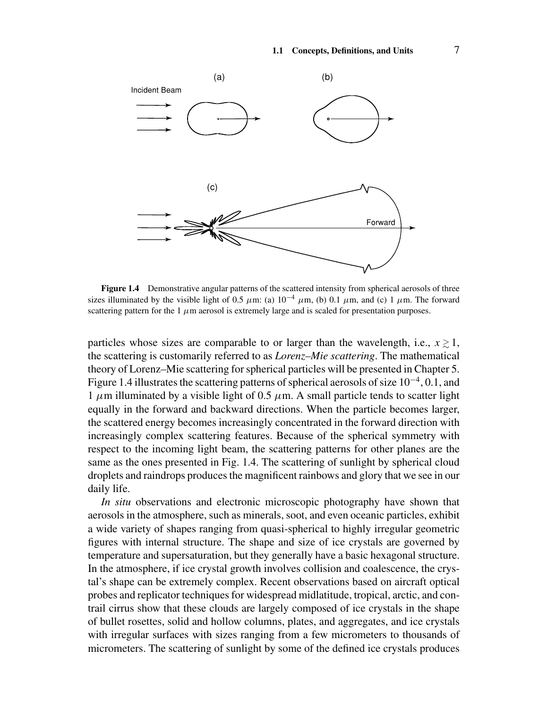

**Figure 1.4** Demonstrative angular patterns of the scattered intensity from spherical aerosols of three sizes illuminated by the visible light of 0.5  $\mu$ m: (a) 10<sup>-4</sup>  $\mu$ m, (b) 0.1  $\mu$ m, and (c) 1  $\mu$ m. The forward scattering pattern for the  $1 \mu$ m aerosol is extremely large and is scaled for presentation purposes.

particles whose sizes are comparable to or larger than the wavelength, i.e.,  $x \ge 1$ , the scattering is customarily referred to as *Lorenz–Mie scattering*. The mathematical theory of Lorenz–Mie scattering for spherical particles will be presented in Chapter 5. Figure 1.4 illustrates the scattering patterns of spherical aerosols of size 10−4, 0.1, and 1  $\mu$ m illuminated by a visible light of 0.5  $\mu$ m. A small particle tends to scatter light equally in the forward and backward directions. When the particle becomes larger, the scattered energy becomes increasingly concentrated in the forward direction with increasingly complex scattering features. Because of the spherical symmetry with respect to the incoming light beam, the scattering patterns for other planes are the same as the ones presented in Fig. 1.4. The scattering of sunlight by spherical cloud droplets and raindrops produces the magnificent rainbows and glory that we see in our daily life.

*In situ* observations and electronic microscopic photography have shown that aerosols in the atmosphere, such as minerals, soot, and even oceanic particles, exhibit a wide variety of shapes ranging from quasi-spherical to highly irregular geometric figures with internal structure. The shape and size of ice crystals are governed by temperature and supersaturation, but they generally have a basic hexagonal structure. In the atmosphere, if ice crystal growth involves collision and coalescence, the crystal's shape can be extremely complex. Recent observations based on aircraft optical probes and replicator techniques for widespread midlatitude, tropical, arctic, and contrail cirrus show that these clouds are largely composed of ice crystals in the shape of bullet rosettes, solid and hollow columns, plates, and aggregates, and ice crystals with irregular surfaces with sizes ranging from a few micrometers to thousands of micrometers. The scattering of sunlight by some of the defined ice crystals produces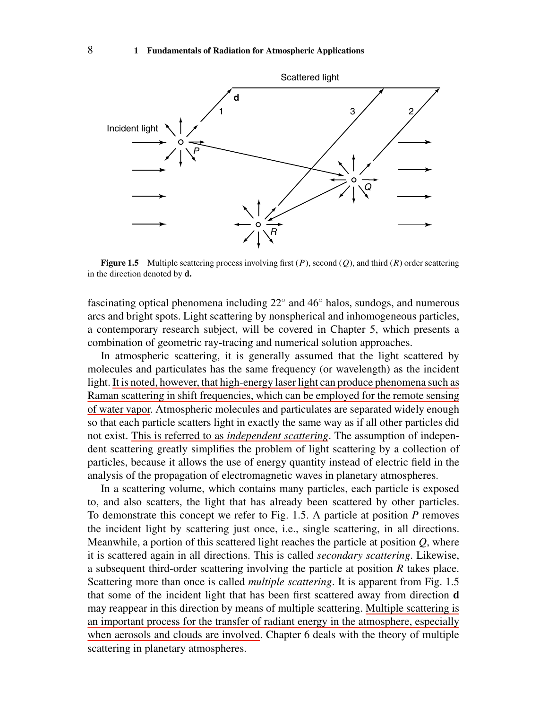

**Figure 1.5** Multiple scattering process involving first (*P*), second (*Q*), and third (*R*) order scattering in the direction denoted by **d.**

fascinating optical phenomena including  $22^\circ$  and  $46^\circ$  halos, sundogs, and numerous arcs and bright spots. Light scattering by nonspherical and inhomogeneous particles, a contemporary research subject, will be covered in Chapter 5, which presents a combination of geometric ray-tracing and numerical solution approaches.

In atmospheric scattering, it is generally assumed that the light scattered by molecules and particulates has the same frequency (or wavelength) as the incident light. It is noted, however, that high-energy laser light can produce phenomena such as Raman scattering in shift frequencies, which can be employed for the remote sensing of water vapor. Atmospheric molecules and particulates are separated widely enough so that each particle scatters light in exactly the same way as if all other particles did not exist. This is referred to as *independent scattering*. The assumption of independent scattering greatly simplifies the problem of light scattering by a collection of particles, because it allows the use of energy quantity instead of electric field in the analysis of the propagation of electromagnetic waves in planetary atmospheres.

In a scattering volume, which contains many particles, each particle is exposed to, and also scatters, the light that has already been scattered by other particles. To demonstrate this concept we refer to Fig. 1.5. A particle at position *P* removes the incident light by scattering just once, i.e., single scattering, in all directions. Meanwhile, a portion of this scattered light reaches the particle at position *Q*, where it is scattered again in all directions. This is called *secondary scattering*. Likewise, a subsequent third-order scattering involving the particle at position *R* takes place. Scattering more than once is called *multiple scattering*. It is apparent from Fig. 1.5 that some of the incident light that has been first scattered away from direction **d** may reappear in this direction by means of multiple scattering. Multiple scattering is an important process for the transfer of radiant energy in the atmosphere, especially when aerosols and clouds are involved. Chapter 6 deals with the theory of multiple scattering in planetary atmospheres.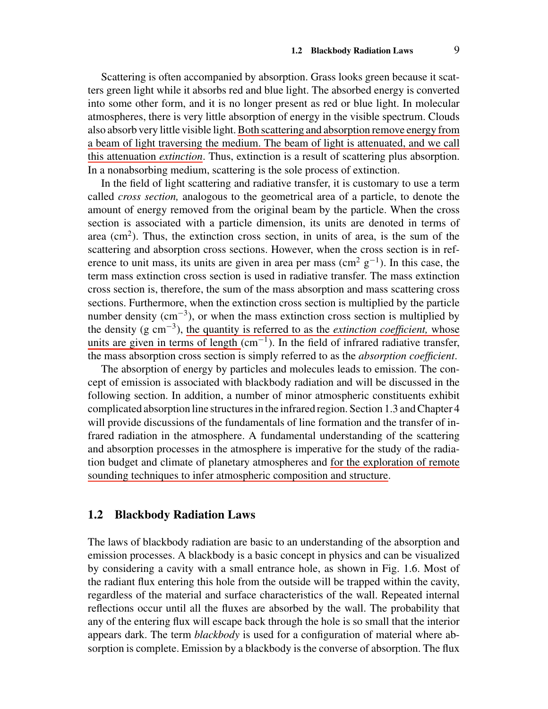Scattering is often accompanied by absorption. Grass looks green because it scatters green light while it absorbs red and blue light. The absorbed energy is converted into some other form, and it is no longer present as red or blue light. In molecular atmospheres, there is very little absorption of energy in the visible spectrum. Clouds also absorb very little visible light. Both scattering and absorption remove energy from a beam of light traversing the medium. The beam of light is attenuated, and we call this attenuation *extinction*. Thus, extinction is a result of scattering plus absorption. In a nonabsorbing medium, scattering is the sole process of extinction.

In the field of light scattering and radiative transfer, it is customary to use a term called *cross section,* analogous to the geometrical area of a particle, to denote the amount of energy removed from the original beam by the particle. When the cross section is associated with a particle dimension, its units are denoted in terms of area (cm<sup>2</sup>). Thus, the extinction cross section, in units of area, is the sum of the scattering and absorption cross sections. However, when the cross section is in reference to unit mass, its units are given in area per mass (cm<sup>2</sup> g<sup>-1</sup>). In this case, the term mass extinction cross section is used in radiative transfer. The mass extinction cross section is, therefore, the sum of the mass absorption and mass scattering cross sections. Furthermore, when the extinction cross section is multiplied by the particle number density (cm<sup>-3</sup>), or when the mass extinction cross section is multiplied by the density (g cm−3), the quantity is referred to as the *extinction coefficient,* whose units are given in terms of length  $(cm<sup>-1</sup>)$ . In the field of infrared radiative transfer, the mass absorption cross section is simply referred to as the *absorption coefficient*.

The absorption of energy by particles and molecules leads to emission. The concept of emission is associated with blackbody radiation and will be discussed in the following section. In addition, a number of minor atmospheric constituents exhibit complicated absorption line structures in the infrared region. Section 1.3 and Chapter 4 will provide discussions of the fundamentals of line formation and the transfer of infrared radiation in the atmosphere. A fundamental understanding of the scattering and absorption processes in the atmosphere is imperative for the study of the radiation budget and climate of planetary atmospheres and for the exploration of remote sounding techniques to infer atmospheric composition and structure.

#### **1.2 Blackbody Radiation Laws**

The laws of blackbody radiation are basic to an understanding of the absorption and emission processes. A blackbody is a basic concept in physics and can be visualized by considering a cavity with a small entrance hole, as shown in Fig. 1.6. Most of the radiant flux entering this hole from the outside will be trapped within the cavity, regardless of the material and surface characteristics of the wall. Repeated internal reflections occur until all the fluxes are absorbed by the wall. The probability that any of the entering flux will escape back through the hole is so small that the interior appears dark. The term *blackbody* is used for a configuration of material where absorption is complete. Emission by a blackbody is the converse of absorption. The flux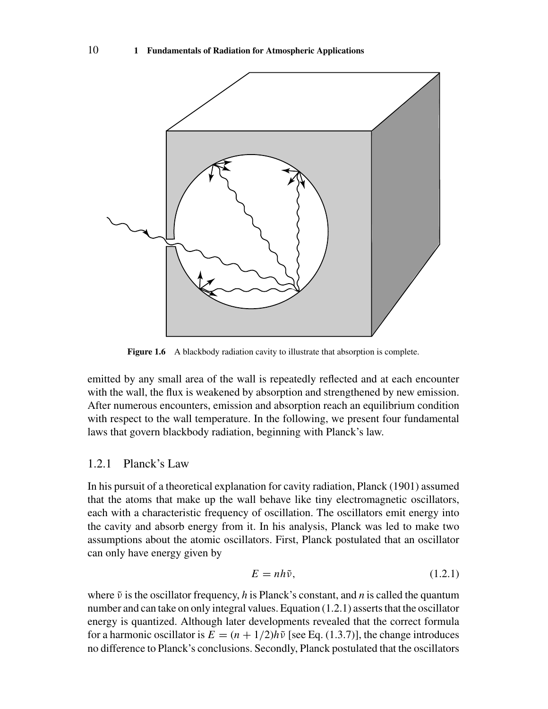

Figure 1.6 A blackbody radiation cavity to illustrate that absorption is complete.

emitted by any small area of the wall is repeatedly reflected and at each encounter with the wall, the flux is weakened by absorption and strengthened by new emission. After numerous encounters, emission and absorption reach an equilibrium condition with respect to the wall temperature. In the following, we present four fundamental laws that govern blackbody radiation, beginning with Planck's law.

# 1.2.1 Planck's Law

In his pursuit of a theoretical explanation for cavity radiation, Planck (1901) assumed that the atoms that make up the wall behave like tiny electromagnetic oscillators, each with a characteristic frequency of oscillation. The oscillators emit energy into the cavity and absorb energy from it. In his analysis, Planck was led to make two assumptions about the atomic oscillators. First, Planck postulated that an oscillator can only have energy given by

$$
E = nh\tilde{\nu},\tag{1.2.1}
$$

where  $\tilde{v}$  is the oscillator frequency, *h* is Planck's constant, and *n* is called the quantum number and can take on only integral values. Equation (1.2.1) asserts that the oscillator energy is quantized. Although later developments revealed that the correct formula for a harmonic oscillator is  $E = (n + 1/2)h\tilde{v}$  [see Eq. (1.3.7)], the change introduces no difference to Planck's conclusions. Secondly, Planck postulated that the oscillators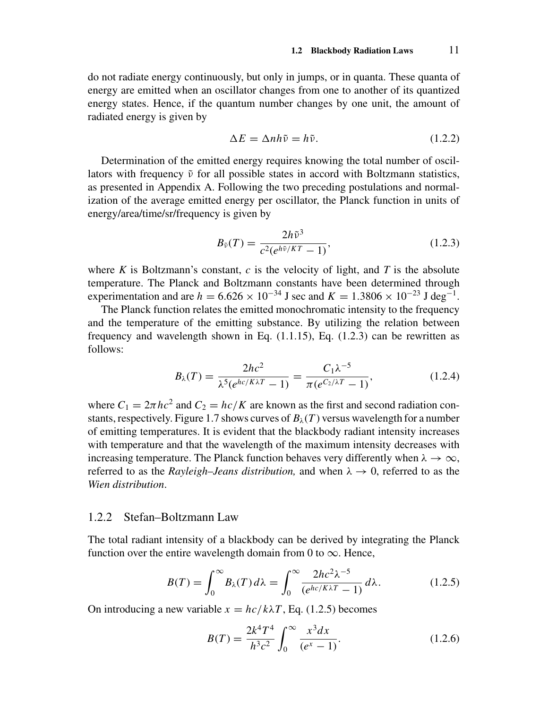do not radiate energy continuously, but only in jumps, or in quanta. These quanta of energy are emitted when an oscillator changes from one to another of its quantized energy states. Hence, if the quantum number changes by one unit, the amount of radiated energy is given by

$$
\Delta E = \Delta nh \tilde{\nu} = h \tilde{\nu}.
$$
 (1.2.2)

Determination of the emitted energy requires knowing the total number of oscillators with frequency  $\tilde{v}$  for all possible states in accord with Boltzmann statistics, as presented in Appendix A. Following the two preceding postulations and normalization of the average emitted energy per oscillator, the Planck function in units of energy/area/time/sr/frequency is given by

$$
B_{\tilde{\nu}}(T) = \frac{2h\tilde{\nu}^3}{c^2(e^{h\tilde{\nu}/KT} - 1)},
$$
\n(1.2.3)

where *K* is Boltzmann's constant, *c* is the velocity of light, and *T* is the absolute temperature. The Planck and Boltzmann constants have been determined through experimentation and are  $h = 6.626 \times 10^{-34}$  J sec and  $K = 1.3806 \times 10^{-23}$  J deg<sup>-1</sup>.

The Planck function relates the emitted monochromatic intensity to the frequency and the temperature of the emitting substance. By utilizing the relation between frequency and wavelength shown in Eq.  $(1.1.15)$ , Eq.  $(1.2.3)$  can be rewritten as follows:

$$
B_{\lambda}(T) = \frac{2hc^2}{\lambda^5(e^{hc/K\lambda T} - 1)} = \frac{C_1\lambda^{-5}}{\pi(e^{C_2/\lambda T} - 1)},
$$
(1.2.4)

where  $C_1 = 2\pi hc^2$  and  $C_2 = hc/K$  are known as the first and second radiation constants, respectively. Figure 1.7 shows curves of  $B_\lambda(T)$  versus wavelength for a number of emitting temperatures. It is evident that the blackbody radiant intensity increases with temperature and that the wavelength of the maximum intensity decreases with increasing temperature. The Planck function behaves very differently when  $\lambda \to \infty$ , referred to as the *Rayleigh–Jeans distribution*, and when  $\lambda \rightarrow 0$ , referred to as the *Wien distribution*.

# 1.2.2 Stefan–Boltzmann Law

The total radiant intensity of a blackbody can be derived by integrating the Planck function over the entire wavelength domain from 0 to  $\infty$ . Hence,

$$
B(T) = \int_0^\infty B_\lambda(T) d\lambda = \int_0^\infty \frac{2hc^2\lambda^{-5}}{(e^{hc/K\lambda T} - 1)} d\lambda.
$$
 (1.2.5)

On introducing a new variable  $x = hc/k\lambda T$ , Eq. (1.2.5) becomes

$$
B(T) = \frac{2k^4T^4}{h^3c^2} \int_0^\infty \frac{x^3dx}{(e^x - 1)}.
$$
\n(1.2.6)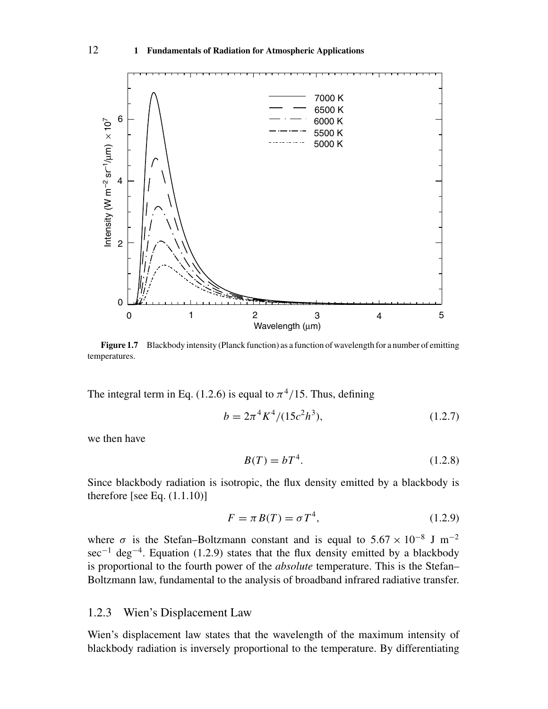

**Figure 1.7** Blackbody intensity (Planck function) as a function of wavelength for a number of emitting temperatures.

The integral term in Eq. (1.2.6) is equal to  $\pi^4/15$ . Thus, defining

$$
b = 2\pi^4 K^4 / (15c^2 h^3),\tag{1.2.7}
$$

we then have

$$
B(T) = bT4.
$$
\n
$$
(1.2.8)
$$

Since blackbody radiation is isotropic, the flux density emitted by a blackbody is therefore [see Eq.  $(1.1.10)$ ]

$$
F = \pi B(T) = \sigma T^4,\tag{1.2.9}
$$

where  $\sigma$  is the Stefan–Boltzmann constant and is equal to  $5.67 \times 10^{-8}$  J m<sup>-2</sup> sec<sup>-1</sup> deg<sup>-4</sup>. Equation (1.2.9) states that the flux density emitted by a blackbody is proportional to the fourth power of the *absolute* temperature. This is the Stefan– Boltzmann law, fundamental to the analysis of broadband infrared radiative transfer.

#### 1.2.3 Wien's Displacement Law

Wien's displacement law states that the wavelength of the maximum intensity of blackbody radiation is inversely proportional to the temperature. By differentiating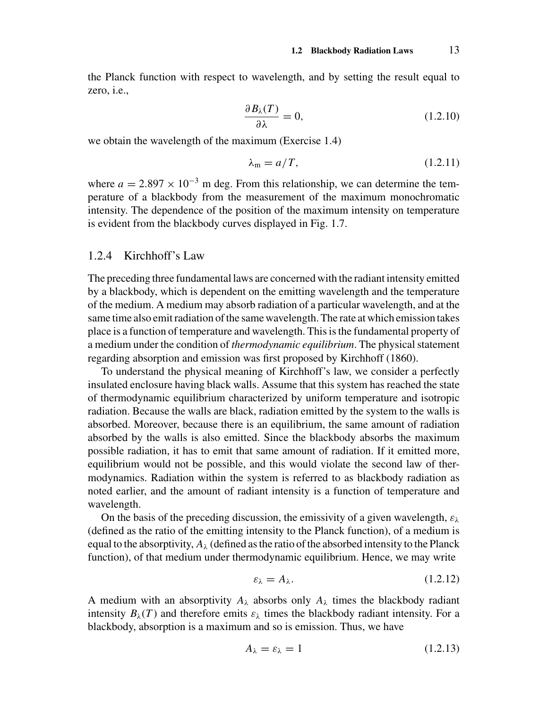the Planck function with respect to wavelength, and by setting the result equal to zero, i.e.,

$$
\frac{\partial B_{\lambda}(T)}{\partial \lambda} = 0, \qquad (1.2.10)
$$

we obtain the wavelength of the maximum (Exercise 1.4)

$$
\lambda_{\rm m} = a/T, \tag{1.2.11}
$$

where  $a = 2.897 \times 10^{-3}$  m deg. From this relationship, we can determine the temperature of a blackbody from the measurement of the maximum monochromatic intensity. The dependence of the position of the maximum intensity on temperature is evident from the blackbody curves displayed in Fig. 1.7.

# 1.2.4 Kirchhoff's Law

The preceding three fundamental laws are concerned with the radiant intensity emitted by a blackbody, which is dependent on the emitting wavelength and the temperature of the medium. A medium may absorb radiation of a particular wavelength, and at the same time also emit radiation of the same wavelength. The rate at which emission takes place is a function of temperature and wavelength. This is the fundamental property of a medium under the condition of *thermodynamic equilibrium*. The physical statement regarding absorption and emission was first proposed by Kirchhoff (1860).

To understand the physical meaning of Kirchhoff's law, we consider a perfectly insulated enclosure having black walls. Assume that this system has reached the state of thermodynamic equilibrium characterized by uniform temperature and isotropic radiation. Because the walls are black, radiation emitted by the system to the walls is absorbed. Moreover, because there is an equilibrium, the same amount of radiation absorbed by the walls is also emitted. Since the blackbody absorbs the maximum possible radiation, it has to emit that same amount of radiation. If it emitted more, equilibrium would not be possible, and this would violate the second law of thermodynamics. Radiation within the system is referred to as blackbody radiation as noted earlier, and the amount of radiant intensity is a function of temperature and wavelength.

On the basis of the preceding discussion, the emissivity of a given wavelength,  $\varepsilon_{\lambda}$ (defined as the ratio of the emitting intensity to the Planck function), of a medium is equal to the absorptivity,  $A_{\lambda}$  (defined as the ratio of the absorbed intensity to the Planck function), of that medium under thermodynamic equilibrium. Hence, we may write

$$
\varepsilon_{\lambda} = A_{\lambda}.\tag{1.2.12}
$$

A medium with an absorptivity  $A_\lambda$  absorbs only  $A_\lambda$  times the blackbody radiant intensity  $B_\lambda(T)$  and therefore emits  $\varepsilon_\lambda$  times the blackbody radiant intensity. For a blackbody, absorption is a maximum and so is emission. Thus, we have

$$
A_{\lambda} = \varepsilon_{\lambda} = 1 \tag{1.2.13}
$$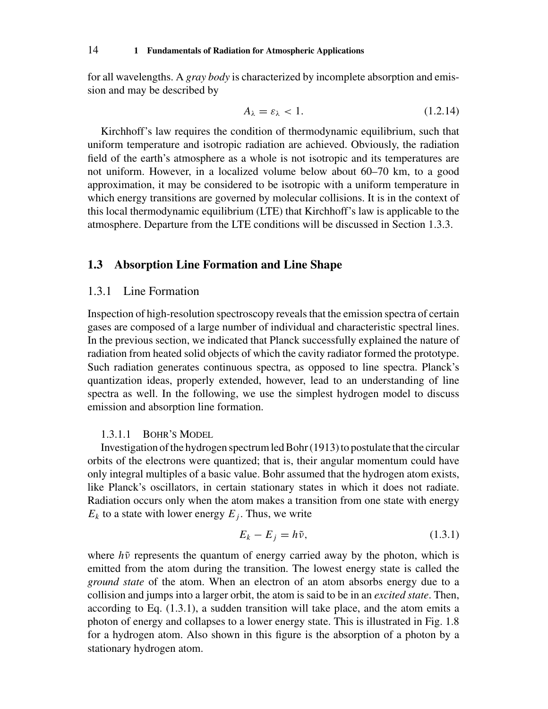#### 14 **1 Fundamentals of Radiation for Atmospheric Applications**

for all wavelengths. A *gray body* is characterized by incomplete absorption and emission and may be described by

$$
A_{\lambda} = \varepsilon_{\lambda} < 1. \tag{1.2.14}
$$

Kirchhoff's law requires the condition of thermodynamic equilibrium, such that uniform temperature and isotropic radiation are achieved. Obviously, the radiation field of the earth's atmosphere as a whole is not isotropic and its temperatures are not uniform. However, in a localized volume below about 60–70 km, to a good approximation, it may be considered to be isotropic with a uniform temperature in which energy transitions are governed by molecular collisions. It is in the context of this local thermodynamic equilibrium (LTE) that Kirchhoff's law is applicable to the atmosphere. Departure from the LTE conditions will be discussed in Section 1.3.3.

# **1.3 Absorption Line Formation and Line Shape**

#### 1.3.1 Line Formation

Inspection of high-resolution spectroscopy reveals that the emission spectra of certain gases are composed of a large number of individual and characteristic spectral lines. In the previous section, we indicated that Planck successfully explained the nature of radiation from heated solid objects of which the cavity radiator formed the prototype. Such radiation generates continuous spectra, as opposed to line spectra. Planck's quantization ideas, properly extended, however, lead to an understanding of line spectra as well. In the following, we use the simplest hydrogen model to discuss emission and absorption line formation.

#### 1.3.1.1 BOHR'S MODEL

Investigation of the hydrogen spectrum led Bohr (1913) to postulate that the circular orbits of the electrons were quantized; that is, their angular momentum could have only integral multiples of a basic value. Bohr assumed that the hydrogen atom exists, like Planck's oscillators, in certain stationary states in which it does not radiate. Radiation occurs only when the atom makes a transition from one state with energy  $E_k$  to a state with lower energy  $E_j$ . Thus, we write

$$
E_k - E_j = h\tilde{\nu},\tag{1.3.1}
$$

where  $h\tilde{\nu}$  represents the quantum of energy carried away by the photon, which is emitted from the atom during the transition. The lowest energy state is called the *ground state* of the atom. When an electron of an atom absorbs energy due to a collision and jumps into a larger orbit, the atom is said to be in an *excited state*. Then, according to Eq. (1.3.1), a sudden transition will take place, and the atom emits a photon of energy and collapses to a lower energy state. This is illustrated in Fig. 1.8 for a hydrogen atom. Also shown in this figure is the absorption of a photon by a stationary hydrogen atom.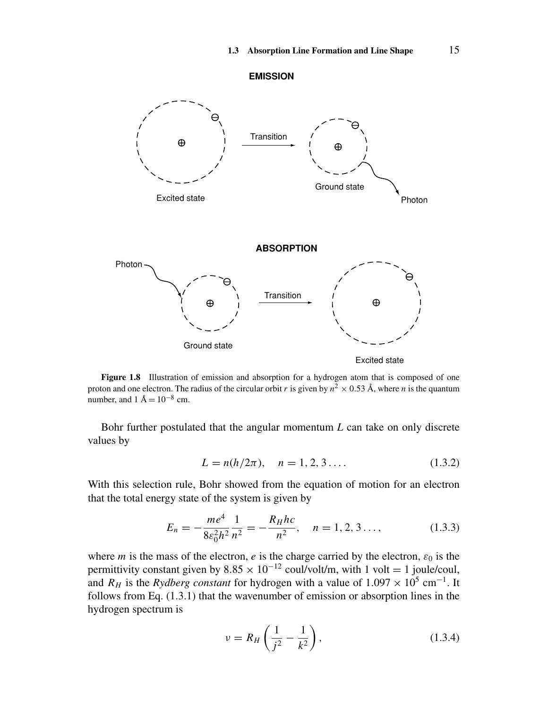



**Figure 1.8** Illustration of emission and absorption for a hydrogen atom that is composed of one proton and one electron. The radius of the circular orbit *r* is given by  $n^2 \times 0.53$  Å, where *n* is the quantum number, and  $1 \text{ Å} = 10^{-8} \text{ cm}.$ 

Bohr further postulated that the angular momentum *L* can take on only discrete values by

$$
L = n(h/2\pi), \quad n = 1, 2, 3 \dots
$$
 (1.3.2)

With this selection rule, Bohr showed from the equation of motion for an electron that the total energy state of the system is given by

$$
E_n = -\frac{me^4}{8\varepsilon_0^2 h^2} \frac{1}{n^2} = -\frac{R_H hc}{n^2}, \quad n = 1, 2, 3 \dots,
$$
 (1.3.3)

where *m* is the mass of the electron, *e* is the charge carried by the electron,  $\varepsilon_0$  is the permittivity constant given by  $8.85 \times 10^{-12}$  coul/volt/m, with 1 volt = 1 joule/coul, and *R<sub>H</sub>* is the *Rydberg constant* for hydrogen with a value of  $1.097 \times 10^5$  cm<sup>-1</sup>. It follows from Eq. (1.3.1) that the wavenumber of emission or absorption lines in the hydrogen spectrum is

$$
v = R_H \left( \frac{1}{j^2} - \frac{1}{k^2} \right),
$$
 (1.3.4)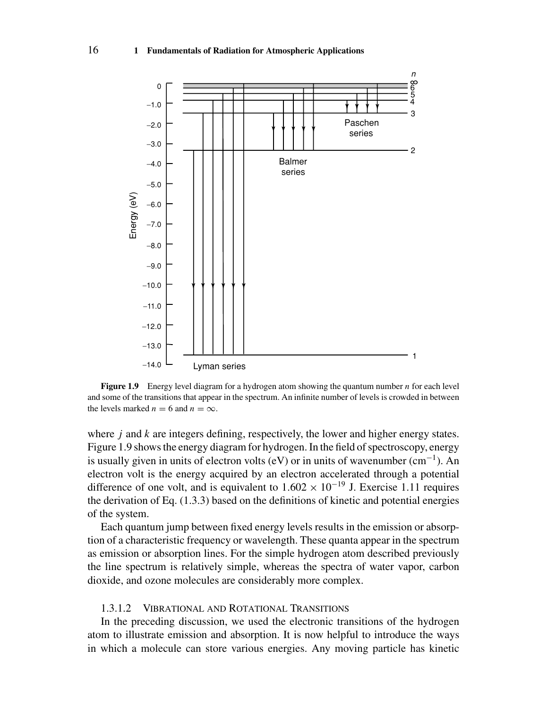

**Figure 1.9** Energy level diagram for a hydrogen atom showing the quantum number *n* for each level and some of the transitions that appear in the spectrum. An infinite number of levels is crowded in between the levels marked  $n = 6$  and  $n = \infty$ .

where *j* and *k* are integers defining, respectively, the lower and higher energy states. Figure 1.9 shows the energy diagram for hydrogen. In the field of spectroscopy, energy is usually given in units of electron volts (eV) or in units of wavenumber  $(cm<sup>-1</sup>)$ . An electron volt is the energy acquired by an electron accelerated through a potential difference of one volt, and is equivalent to  $1.602 \times 10^{-19}$  J. Exercise 1.11 requires the derivation of Eq. (1.3.3) based on the definitions of kinetic and potential energies of the system.

Each quantum jump between fixed energy levels results in the emission or absorption of a characteristic frequency or wavelength. These quanta appear in the spectrum as emission or absorption lines. For the simple hydrogen atom described previously the line spectrum is relatively simple, whereas the spectra of water vapor, carbon dioxide, and ozone molecules are considerably more complex.

#### 1.3.1.2 VIBRATIONAL AND ROTATIONAL TRANSITIONS

In the preceding discussion, we used the electronic transitions of the hydrogen atom to illustrate emission and absorption. It is now helpful to introduce the ways in which a molecule can store various energies. Any moving particle has kinetic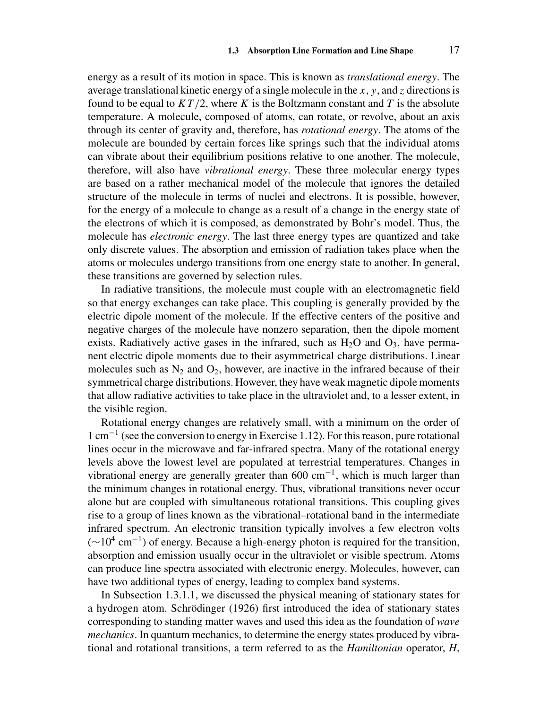energy as a result of its motion in space. This is known as *translational energy*. The average translational kinetic energy of a single molecule in the *x*, *y*, and *z* directions is found to be equal to  $KT/2$ , where K is the Boltzmann constant and T is the absolute temperature. A molecule, composed of atoms, can rotate, or revolve, about an axis through its center of gravity and, therefore, has *rotational energy*. The atoms of the molecule are bounded by certain forces like springs such that the individual atoms can vibrate about their equilibrium positions relative to one another. The molecule, therefore, will also have *vibrational energy*. These three molecular energy types are based on a rather mechanical model of the molecule that ignores the detailed structure of the molecule in terms of nuclei and electrons. It is possible, however, for the energy of a molecule to change as a result of a change in the energy state of the electrons of which it is composed, as demonstrated by Bohr's model. Thus, the molecule has *electronic energy*. The last three energy types are quantized and take only discrete values. The absorption and emission of radiation takes place when the atoms or molecules undergo transitions from one energy state to another. In general, these transitions are governed by selection rules.

In radiative transitions, the molecule must couple with an electromagnetic field so that energy exchanges can take place. This coupling is generally provided by the electric dipole moment of the molecule. If the effective centers of the positive and negative charges of the molecule have nonzero separation, then the dipole moment exists. Radiatively active gases in the infrared, such as  $H_2O$  and  $O_3$ , have permanent electric dipole moments due to their asymmetrical charge distributions. Linear molecules such as  $N_2$  and  $O_2$ , however, are inactive in the infrared because of their symmetrical charge distributions. However, they have weak magnetic dipole moments that allow radiative activities to take place in the ultraviolet and, to a lesser extent, in the visible region.

Rotational energy changes are relatively small, with a minimum on the order of 1 cm−<sup>1</sup> (see the conversion to energy in Exercise 1.12). For this reason, pure rotational lines occur in the microwave and far-infrared spectra. Many of the rotational energy levels above the lowest level are populated at terrestrial temperatures. Changes in vibrational energy are generally greater than 600 cm−1, which is much larger than the minimum changes in rotational energy. Thus, vibrational transitions never occur alone but are coupled with simultaneous rotational transitions. This coupling gives rise to a group of lines known as the vibrational–rotational band in the intermediate infrared spectrum. An electronic transition typically involves a few electron volts  $(\sim 10^4 \text{ cm}^{-1})$  of energy. Because a high-energy photon is required for the transition, absorption and emission usually occur in the ultraviolet or visible spectrum. Atoms can produce line spectra associated with electronic energy. Molecules, however, can have two additional types of energy, leading to complex band systems.

In Subsection 1.3.1.1, we discussed the physical meaning of stationary states for a hydrogen atom. Schrödinger (1926) first introduced the idea of stationary states corresponding to standing matter waves and used this idea as the foundation of *wave mechanics*. In quantum mechanics, to determine the energy states produced by vibrational and rotational transitions, a term referred to as the *Hamiltonian* operator, *H*,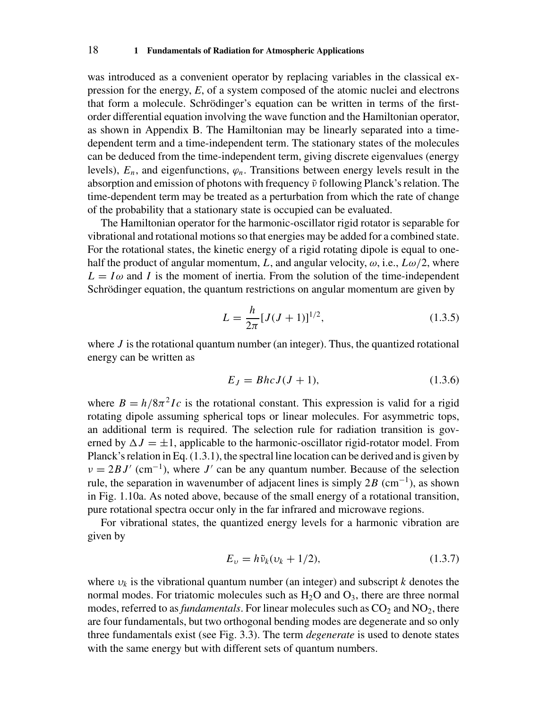#### 18 **1 Fundamentals of Radiation for Atmospheric Applications**

was introduced as a convenient operator by replacing variables in the classical expression for the energy, *E*, of a system composed of the atomic nuclei and electrons that form a molecule. Schrödinger's equation can be written in terms of the firstorder differential equation involving the wave function and the Hamiltonian operator, as shown in Appendix B. The Hamiltonian may be linearly separated into a timedependent term and a time-independent term. The stationary states of the molecules can be deduced from the time-independent term, giving discrete eigenvalues (energy levels),  $E_n$ , and eigenfunctions,  $\varphi_n$ . Transitions between energy levels result in the absorption and emission of photons with frequency  $\tilde{v}$  following Planck's relation. The time-dependent term may be treated as a perturbation from which the rate of change of the probability that a stationary state is occupied can be evaluated.

The Hamiltonian operator for the harmonic-oscillator rigid rotator is separable for vibrational and rotational motions so that energies may be added for a combined state. For the rotational states, the kinetic energy of a rigid rotating dipole is equal to onehalf the product of angular momentum, L, and angular velocity,  $\omega$ , i.e.,  $L\omega/2$ , where  $L = I\omega$  and *I* is the moment of inertia. From the solution of the time-independent Schrödinger equation, the quantum restrictions on angular momentum are given by

$$
L = \frac{h}{2\pi} [J(J+1)]^{1/2},\tag{1.3.5}
$$

where *J* is the rotational quantum number (an integer). Thus, the quantized rotational energy can be written as

$$
E_J = BhcJ(J+1),\tag{1.3.6}
$$

where  $B = h/8\pi^2 I_c$  is the rotational constant. This expression is valid for a rigid rotating dipole assuming spherical tops or linear molecules. For asymmetric tops, an additional term is required. The selection rule for radiation transition is governed by  $\Delta J = \pm 1$ , applicable to the harmonic-oscillator rigid-rotator model. From Planck's relation in Eq. (1.3.1), the spectral line location can be derived and is given by  $\nu = 2BJ'$  (cm<sup>-1</sup>), where *J'* can be any quantum number. Because of the selection rule, the separation in wavenumber of adjacent lines is simply 2*B* (cm<sup>-1</sup>), as shown in Fig. 1.10a. As noted above, because of the small energy of a rotational transition, pure rotational spectra occur only in the far infrared and microwave regions.

For vibrational states, the quantized energy levels for a harmonic vibration are given by

$$
E_{\nu} = h\tilde{\nu}_k(\nu_k + 1/2),\tag{1.3.7}
$$

where  $v_k$  is the vibrational quantum number (an integer) and subscript  $k$  denotes the normal modes. For triatomic molecules such as  $H_2O$  and  $O_3$ , there are three normal modes, referred to as *fundamentals*. For linear molecules such as  $CO<sub>2</sub>$  and NO<sub>2</sub>, there are four fundamentals, but two orthogonal bending modes are degenerate and so only three fundamentals exist (see Fig. 3.3). The term *degenerate* is used to denote states with the same energy but with different sets of quantum numbers.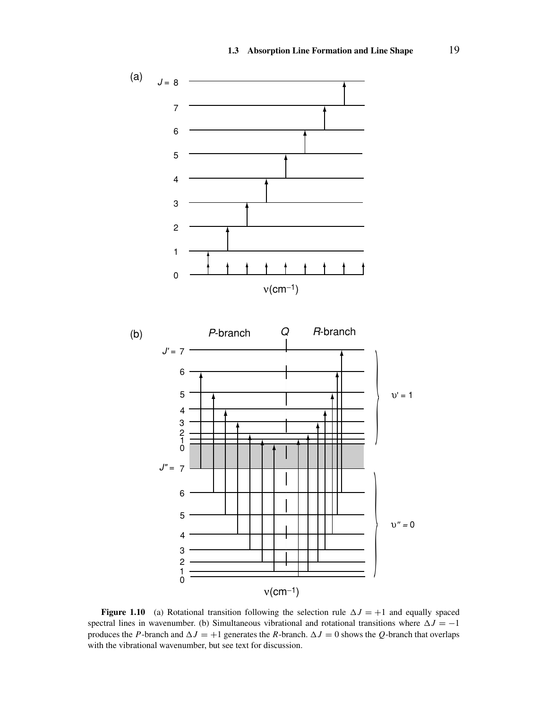

**Figure 1.10** (a) Rotational transition following the selection rule  $\Delta J = +1$  and equally spaced spectral lines in wavenumber. (b) Simultaneous vibrational and rotational transitions where  $\Delta J = -1$ produces the *P*-branch and  $\Delta J = +1$  generates the *R*-branch.  $\Delta J = 0$  shows the *Q*-branch that overlaps with the vibrational wavenumber, but see text for discussion.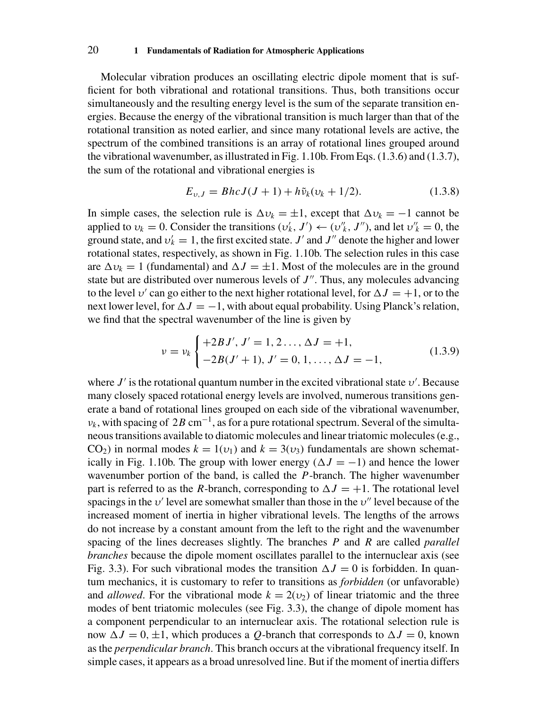#### 20 **1 Fundamentals of Radiation for Atmospheric Applications**

Molecular vibration produces an oscillating electric dipole moment that is sufficient for both vibrational and rotational transitions. Thus, both transitions occur simultaneously and the resulting energy level is the sum of the separate transition energies. Because the energy of the vibrational transition is much larger than that of the rotational transition as noted earlier, and since many rotational levels are active, the spectrum of the combined transitions is an array of rotational lines grouped around the vibrational wavenumber, as illustrated in Fig. 1.10b. From Eqs. (1.3.6) and (1.3.7), the sum of the rotational and vibrational energies is

$$
E_{\nu,J} = BhcJ(J+1) + h\tilde{\nu}_k(\nu_k + 1/2). \tag{1.3.8}
$$

In simple cases, the selection rule is  $\Delta v_k = \pm 1$ , except that  $\Delta v_k = -1$  cannot be applied to  $v_k = 0$ . Consider the transitions  $(v'_k, J') \leftarrow (v''_k, J'')$ , and let  $v''_k = 0$ , the ground state, and  $v'_k = 1$ , the first excited state. *J'* and *J''* denote the higher and lower rotational states, respectively, as shown in Fig. 1.10b. The selection rules in this case are  $\Delta v_k = 1$  (fundamental) and  $\Delta J = \pm 1$ . Most of the molecules are in the ground state but are distributed over numerous levels of *J*<sup>"</sup>. Thus, any molecules advancing to the level  $v'$  can go either to the next higher rotational level, for  $\Delta J = +1$ , or to the next lower level, for  $\Delta J = -1$ , with about equal probability. Using Planck's relation, we find that the spectral wavenumber of the line is given by

$$
\nu = \nu_k \begin{cases} +2BJ', J' = 1, 2..., \Delta J = +1, \\ -2B(J' + 1), J' = 0, 1, ..., \Delta J = -1, \end{cases}
$$
(1.3.9)

where  $J'$  is the rotational quantum number in the excited vibrational state  $v'$ . Because many closely spaced rotational energy levels are involved, numerous transitions generate a band of rotational lines grouped on each side of the vibrational wavenumber,  $v_k$ , with spacing of 2*B* cm<sup>-1</sup>, as for a pure rotational spectrum. Several of the simultaneous transitions available to diatomic molecules and linear triatomic molecules (e.g., CO<sub>2</sub>) in normal modes  $k = 1(v_1)$  and  $k = 3(v_3)$  fundamentals are shown schematically in Fig. 1.10b. The group with lower energy  $(\Delta J = -1)$  and hence the lower wavenumber portion of the band, is called the *P*-branch. The higher wavenumber part is referred to as the *R*-branch, corresponding to  $\Delta J = +1$ . The rotational level spacings in the  $v'$  level are somewhat smaller than those in the  $v''$  level because of the increased moment of inertia in higher vibrational levels. The lengths of the arrows do not increase by a constant amount from the left to the right and the wavenumber spacing of the lines decreases slightly. The branches *P* and *R* are called *parallel branches* because the dipole moment oscillates parallel to the internuclear axis (see Fig. 3.3). For such vibrational modes the transition  $\Delta J = 0$  is forbidden. In quantum mechanics, it is customary to refer to transitions as *forbidden* (or unfavorable) and *allowed*. For the vibrational mode  $k = 2(v_2)$  of linear triatomic and the three modes of bent triatomic molecules (see Fig. 3.3), the change of dipole moment has a component perpendicular to an internuclear axis. The rotational selection rule is now  $\Delta J = 0, \pm 1$ , which produces a *Q*-branch that corresponds to  $\Delta J = 0$ , known as the *perpendicular branch*. This branch occurs at the vibrational frequency itself. In simple cases, it appears as a broad unresolved line. But if the moment of inertia differs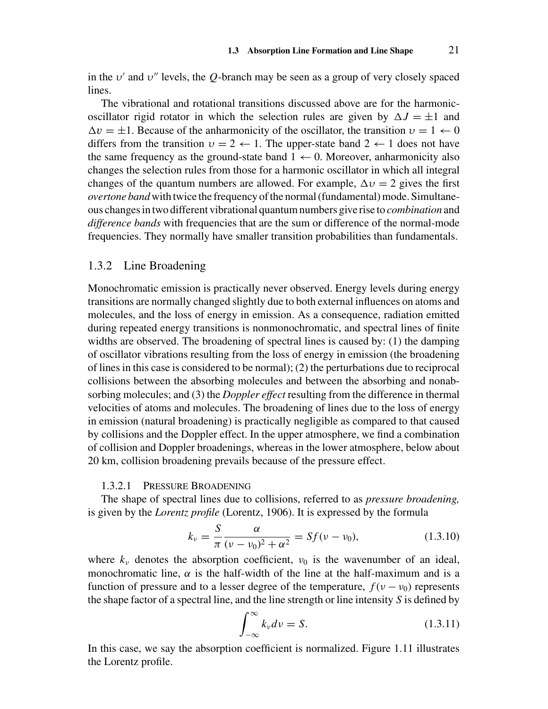in the  $v'$  and  $v''$  levels, the Q-branch may be seen as a group of very closely spaced lines.

The vibrational and rotational transitions discussed above are for the harmonicoscillator rigid rotator in which the selection rules are given by  $\Delta J = \pm 1$  and  $\Delta v = \pm 1$ . Because of the anharmonicity of the oscillator, the transition  $v = 1 \leftarrow 0$ differs from the transition  $v = 2 \leftarrow 1$ . The upper-state band  $2 \leftarrow 1$  does not have the same frequency as the ground-state band  $1 \leftarrow 0$ . Moreover, anharmonicity also changes the selection rules from those for a harmonic oscillator in which all integral changes of the quantum numbers are allowed. For example,  $\Delta v = 2$  gives the first *overtone band*with twice the frequency of the normal (fundamental) mode. Simultaneous changes in two different vibrational quantum numbers give rise to *combination* and *difference bands* with frequencies that are the sum or difference of the normal-mode frequencies. They normally have smaller transition probabilities than fundamentals.

### 1.3.2 Line Broadening

Monochromatic emission is practically never observed. Energy levels during energy transitions are normally changed slightly due to both external influences on atoms and molecules, and the loss of energy in emission. As a consequence, radiation emitted during repeated energy transitions is nonmonochromatic, and spectral lines of finite widths are observed. The broadening of spectral lines is caused by: (1) the damping of oscillator vibrations resulting from the loss of energy in emission (the broadening of lines in this case is considered to be normal); (2) the perturbations due to reciprocal collisions between the absorbing molecules and between the absorbing and nonabsorbing molecules; and (3) the *Doppler effect* resulting from the difference in thermal velocities of atoms and molecules. The broadening of lines due to the loss of energy in emission (natural broadening) is practically negligible as compared to that caused by collisions and the Doppler effect. In the upper atmosphere, we find a combination of collision and Doppler broadenings, whereas in the lower atmosphere, below about 20 km, collision broadening prevails because of the pressure effect.

#### 1.3.2.1 PRESSURE BROADENING

The shape of spectral lines due to collisions, referred to as *pressure broadening,* is given by the *Lorentz profile* (Lorentz, 1906). It is expressed by the formula

$$
k_{\nu} = \frac{S}{\pi} \frac{\alpha}{(\nu - \nu_0)^2 + \alpha^2} = Sf(\nu - \nu_0),
$$
 (1.3.10)

where  $k_{\nu}$  denotes the absorption coefficient,  $\nu_0$  is the wavenumber of an ideal, monochromatic line,  $\alpha$  is the half-width of the line at the half-maximum and is a function of pressure and to a lesser degree of the temperature,  $f(v - v_0)$  represents the shape factor of a spectral line, and the line strength or line intensity *S* is defined by

$$
\int_{-\infty}^{\infty} k_{\nu} d\nu = S. \tag{1.3.11}
$$

In this case, we say the absorption coefficient is normalized. Figure 1.11 illustrates the Lorentz profile.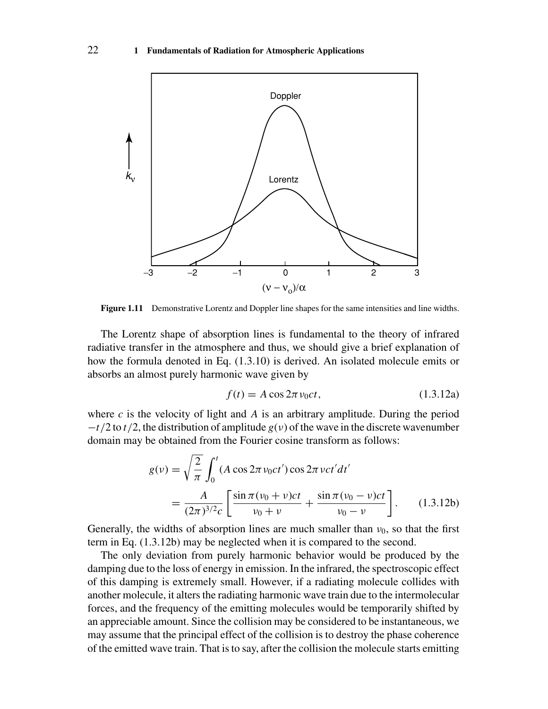

**Figure 1.11** Demonstrative Lorentz and Doppler line shapes for the same intensities and line widths.

The Lorentz shape of absorption lines is fundamental to the theory of infrared radiative transfer in the atmosphere and thus, we should give a brief explanation of how the formula denoted in Eq. (1.3.10) is derived. An isolated molecule emits or absorbs an almost purely harmonic wave given by

$$
f(t) = A \cos 2\pi \nu_0 ct,
$$
 (1.3.12a)

where *c* is the velocity of light and *A* is an arbitrary amplitude. During the period −*t/*2 to *t/*2, the distribution of amplitude *g*(ν) of the wave in the discrete wavenumber domain may be obtained from the Fourier cosine transform as follows:

$$
g(\nu) = \sqrt{\frac{2}{\pi}} \int_0^t (A \cos 2\pi \nu_0 ct') \cos 2\pi \nu ct' dt'
$$
  
= 
$$
\frac{A}{(2\pi)^{3/2} c} \left[ \frac{\sin \pi (\nu_0 + \nu) ct}{\nu_0 + \nu} + \frac{\sin \pi (\nu_0 - \nu) ct}{\nu_0 - \nu} \right].
$$
 (1.3.12b)

Generally, the widths of absorption lines are much smaller than  $v_0$ , so that the first term in Eq. (1.3.12b) may be neglected when it is compared to the second.

The only deviation from purely harmonic behavior would be produced by the damping due to the loss of energy in emission. In the infrared, the spectroscopic effect of this damping is extremely small. However, if a radiating molecule collides with another molecule, it alters the radiating harmonic wave train due to the intermolecular forces, and the frequency of the emitting molecules would be temporarily shifted by an appreciable amount. Since the collision may be considered to be instantaneous, we may assume that the principal effect of the collision is to destroy the phase coherence of the emitted wave train. That is to say, after the collision the molecule starts emitting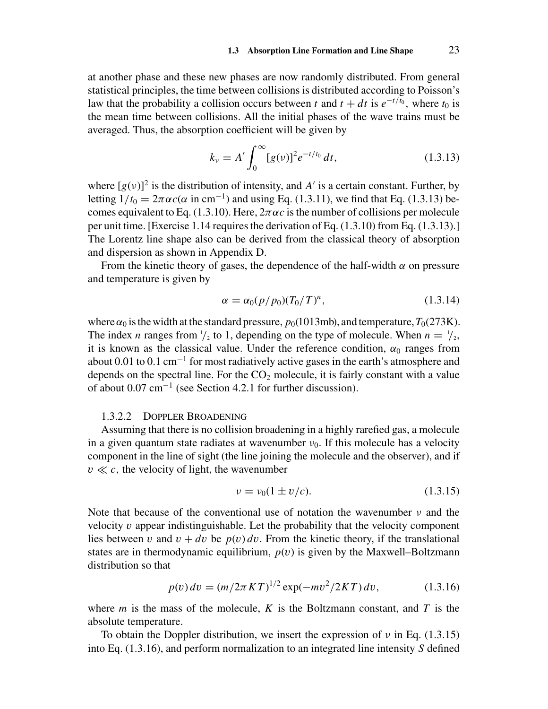at another phase and these new phases are now randomly distributed. From general statistical principles, the time between collisions is distributed according to Poisson's law that the probability a collision occurs between *t* and  $t + dt$  is  $e^{-t/t_0}$ , where  $t_0$  is the mean time between collisions. All the initial phases of the wave trains must be averaged. Thus, the absorption coefficient will be given by

$$
k_{\nu} = A' \int_0^{\infty} [g(\nu)]^2 e^{-t/t_0} dt,
$$
\n(1.3.13)

where  $[g(v)]^2$  is the distribution of intensity, and A' is a certain constant. Further, by letting  $1/t_0 = 2παc(α in cm<sup>-1</sup>)$  and using Eq. (1.3.11), we find that Eq. (1.3.13) becomes equivalent to Eq. (1.3.10). Here,  $2\pi \alpha c$  is the number of collisions per molecule per unit time. [Exercise 1.14 requires the derivation of Eq. (1.3.10) from Eq. (1.3.13).] The Lorentz line shape also can be derived from the classical theory of absorption and dispersion as shown in Appendix D.

From the kinetic theory of gases, the dependence of the half-width  $\alpha$  on pressure and temperature is given by

$$
\alpha = \alpha_0 (p/p_0) (T_0/T)^n, \qquad (1.3.14)
$$

where  $\alpha_0$  is the width at the standard pressure,  $p_0(1013 \text{ mb})$ , and temperature,  $T_0(273 \text{ K})$ . The index *n* ranges from  $\frac{1}{2}$  to 1, depending on the type of molecule. When  $n = \frac{1}{2}$ , it is known as the classical value. Under the reference condition,  $\alpha_0$  ranges from about 0.01 to 0.1 cm<sup>-1</sup> for most radiatively active gases in the earth's atmosphere and depends on the spectral line. For the  $CO<sub>2</sub>$  molecule, it is fairly constant with a value of about 0.07 cm−<sup>1</sup> (see Section 4.2.1 for further discussion).

#### 1.3.2.2 DOPPLER BROADENING

Assuming that there is no collision broadening in a highly rarefied gas, a molecule in a given quantum state radiates at wavenumber  $v_0$ . If this molecule has a velocity component in the line of sight (the line joining the molecule and the observer), and if  $v \ll c$ , the velocity of light, the wavenumber

$$
v = v_0(1 \pm v/c). \tag{1.3.15}
$$

Note that because of the conventional use of notation the wavenumber  $\nu$  and the velocity *v* appear indistinguishable. Let the probability that the velocity component lies between *v* and  $v + dv$  be  $p(v) dv$ . From the kinetic theory, if the translational states are in thermodynamic equilibrium,  $p(v)$  is given by the Maxwell–Boltzmann distribution so that

$$
p(v) dv = (m/2\pi K T)^{1/2} \exp(-mv^2/2KT) dv,
$$
 (1.3.16)

where *m* is the mass of the molecule,  $K$  is the Boltzmann constant, and  $T$  is the absolute temperature.

To obtain the Doppler distribution, we insert the expression of  $\nu$  in Eq. (1.3.15) into Eq. (1.3.16), and perform normalization to an integrated line intensity *S* defined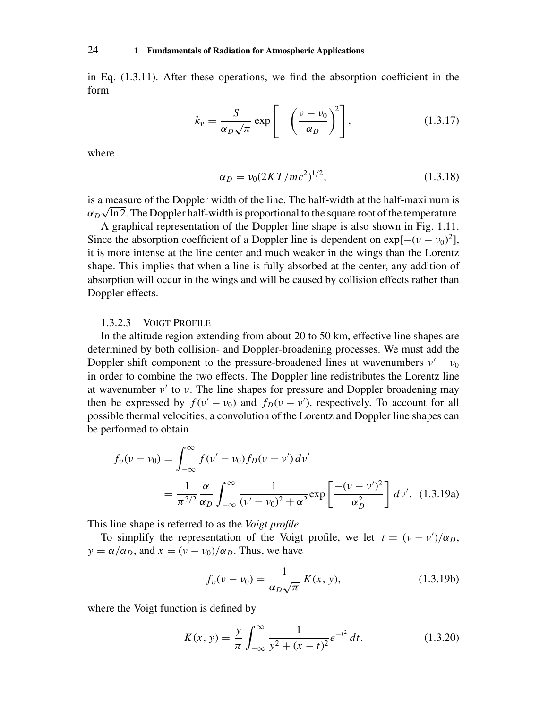in Eq. (1.3.11). After these operations, we find the absorption coefficient in the form

$$
k_{\nu} = \frac{S}{\alpha_D \sqrt{\pi}} \exp\left[-\left(\frac{\nu - \nu_0}{\alpha_D}\right)^2\right],\tag{1.3.17}
$$

where

$$
\alpha_D = v_0 (2KT/mc^2)^{1/2},\qquad(1.3.18)
$$

is a measure of the Doppler width of the line. The half-width at the half-maximum is  $\alpha_D\sqrt{\ln 2}$ . The Doppler half-width is proportional to the square root of the temperature.

A graphical representation of the Doppler line shape is also shown in Fig. 1.11. Since the absorption coefficient of a Doppler line is dependent on  $\exp[-(\nu - \nu_0)^2]$ , it is more intense at the line center and much weaker in the wings than the Lorentz shape. This implies that when a line is fully absorbed at the center, any addition of absorption will occur in the wings and will be caused by collision effects rather than Doppler effects.

#### 1.3.2.3 VOIGT PROFILE

In the altitude region extending from about 20 to 50 km, effective line shapes are determined by both collision- and Doppler-broadening processes. We must add the Doppler shift component to the pressure-broadened lines at wavenumbers  $v' - v_0$ in order to combine the two effects. The Doppler line redistributes the Lorentz line at wavenumber  $v'$  to v. The line shapes for pressure and Doppler broadening may then be expressed by  $f(v' - v_0)$  and  $f_D(v - v')$ , respectively. To account for all possible thermal velocities, a convolution of the Lorentz and Doppler line shapes can be performed to obtain

$$
f_v(\nu - \nu_0) = \int_{-\infty}^{\infty} f(\nu' - \nu_0) f_D(\nu - \nu') d\nu'
$$
  
= 
$$
\frac{1}{\pi^{3/2}} \frac{\alpha}{\alpha_D} \int_{-\infty}^{\infty} \frac{1}{(\nu' - \nu_0)^2 + \alpha^2} exp\left[\frac{-(\nu - \nu')^2}{\alpha_D^2}\right] d\nu'.
$$
 (1.3.19a)

This line shape is referred to as the *Voigt profile*.

To simplify the representation of the Voigt profile, we let  $t = (v - v')/\alpha_D$ ,  $y = \alpha/\alpha_D$ , and  $x = (v - v_0)/\alpha_D$ . Thus, we have

$$
f_v(v - v_0) = \frac{1}{\alpha_D \sqrt{\pi}} K(x, y),
$$
 (1.3.19b)

where the Voigt function is defined by

$$
K(x, y) = \frac{y}{\pi} \int_{-\infty}^{\infty} \frac{1}{y^2 + (x - t)^2} e^{-t^2} dt.
$$
 (1.3.20)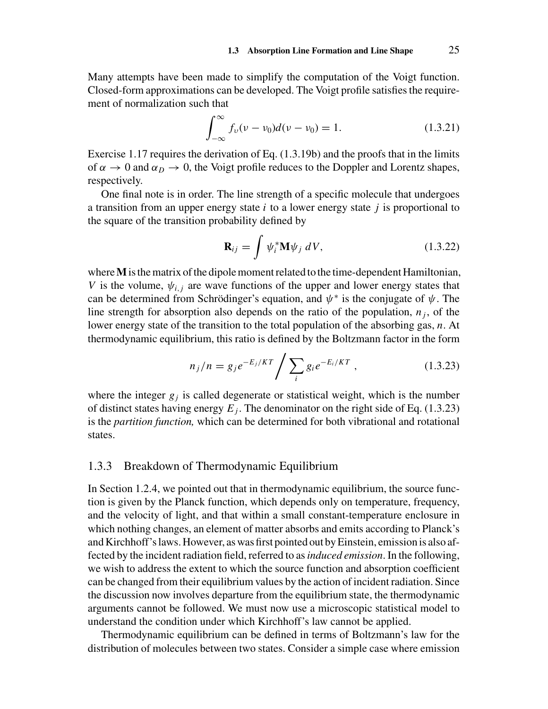Many attempts have been made to simplify the computation of the Voigt function. Closed-form approximations can be developed. The Voigt profile satisfies the requirement of normalization such that

$$
\int_{-\infty}^{\infty} f_{\nu}(\nu - \nu_0) d(\nu - \nu_0) = 1.
$$
 (1.3.21)

Exercise 1.17 requires the derivation of Eq. (1.3.19b) and the proofs that in the limits of  $\alpha \to 0$  and  $\alpha_D \to 0$ , the Voigt profile reduces to the Doppler and Lorentz shapes, respectively.

One final note is in order. The line strength of a specific molecule that undergoes a transition from an upper energy state *i* to a lower energy state *j* is proportional to the square of the transition probability defined by

$$
\mathbf{R}_{ij} = \int \psi_i^* \mathbf{M} \psi_j \, dV, \tag{1.3.22}
$$

where**M**is the matrix of the dipole moment related to the time-dependent Hamiltonian, *V* is the volume,  $\psi_{i,j}$  are wave functions of the upper and lower energy states that can be determined from Schrödinger's equation, and  $\psi^*$  is the conjugate of  $\psi$ . The line strength for absorption also depends on the ratio of the population,  $n_i$ , of the lower energy state of the transition to the total population of the absorbing gas, *n*. At thermodynamic equilibrium, this ratio is defined by the Boltzmann factor in the form

$$
n_j/n = g_j e^{-E_j/KT} / \sum_i g_i e^{-E_i/KT} , \qquad (1.3.23)
$$

where the integer  $g_i$  is called degenerate or statistical weight, which is the number of distinct states having energy  $E_j$ . The denominator on the right side of Eq. (1.3.23) is the *partition function,* which can be determined for both vibrational and rotational states.

#### 1.3.3 Breakdown of Thermodynamic Equilibrium

In Section 1.2.4, we pointed out that in thermodynamic equilibrium, the source function is given by the Planck function, which depends only on temperature, frequency, and the velocity of light, and that within a small constant-temperature enclosure in which nothing changes, an element of matter absorbs and emits according to Planck's and Kirchhoff's laws. However, as was first pointed out by Einstein, emission is also affected by the incident radiation field, referred to as*induced emission*. In the following, we wish to address the extent to which the source function and absorption coefficient can be changed from their equilibrium values by the action of incident radiation. Since the discussion now involves departure from the equilibrium state, the thermodynamic arguments cannot be followed. We must now use a microscopic statistical model to understand the condition under which Kirchhoff's law cannot be applied.

Thermodynamic equilibrium can be defined in terms of Boltzmann's law for the distribution of molecules between two states. Consider a simple case where emission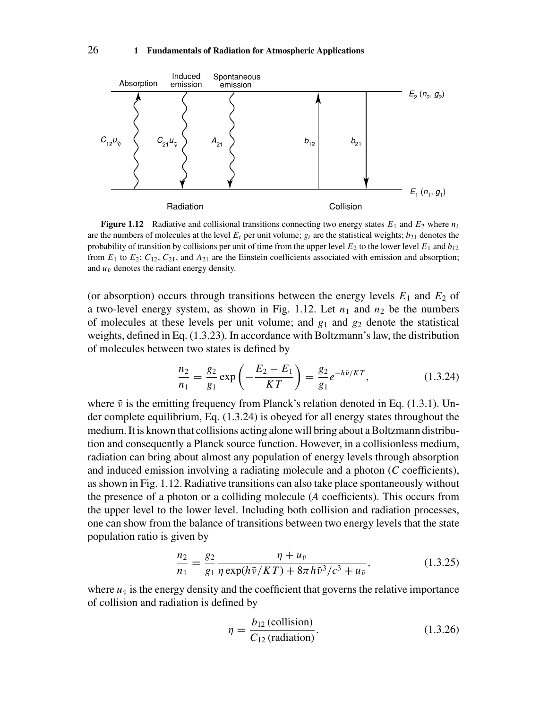

**Figure 1.12** Radiative and collisional transitions connecting two energy states  $E_1$  and  $E_2$  where  $n_i$ are the numbers of molecules at the level  $E_i$  per unit volume;  $g_i$  are the statistical weights;  $b_{21}$  denotes the probability of transition by collisions per unit of time from the upper level  $E_2$  to the lower level  $E_1$  and  $b_{12}$ from  $E_1$  to  $E_2$ ;  $C_{12}$ ,  $C_{21}$ , and  $A_{21}$  are the Einstein coefficients associated with emission and absorption; and  $u_{\tilde{\nu}}$  denotes the radiant energy density.

(or absorption) occurs through transitions between the energy levels  $E_1$  and  $E_2$  of a two-level energy system, as shown in Fig. 1.12. Let  $n_1$  and  $n_2$  be the numbers of molecules at these levels per unit volume; and  $g_1$  and  $g_2$  denote the statistical weights, defined in Eq. (1.3.23). In accordance with Boltzmann's law, the distribution of molecules between two states is defined by

$$
\frac{n_2}{n_1} = \frac{g_2}{g_1} \exp\left(-\frac{E_2 - E_1}{KT}\right) = \frac{g_2}{g_1} e^{-h\tilde{v}/KT},\tag{1.3.24}
$$

where  $\tilde{\nu}$  is the emitting frequency from Planck's relation denoted in Eq. (1.3.1). Under complete equilibrium, Eq. (1.3.24) is obeyed for all energy states throughout the medium. It is known that collisions acting alone will bring about a Boltzmann distribution and consequently a Planck source function. However, in a collisionless medium, radiation can bring about almost any population of energy levels through absorption and induced emission involving a radiating molecule and a photon (*C* coefficients), as shown in Fig. 1.12. Radiative transitions can also take place spontaneously without the presence of a photon or a colliding molecule (*A* coefficients). This occurs from the upper level to the lower level. Including both collision and radiation processes, one can show from the balance of transitions between two energy levels that the state population ratio is given by

$$
\frac{n_2}{n_1} = \frac{g_2}{g_1} \frac{\eta + u_{\tilde{\nu}}}{\eta \exp(h\tilde{\nu}/KT) + 8\pi h\tilde{\nu}^3/c^3 + u_{\tilde{\nu}}},
$$
(1.3.25)

where  $u_{\tilde{v}}$  is the energy density and the coefficient that governs the relative importance of collision and radiation is defined by

$$
\eta = \frac{b_{12} \text{ (collision)}}{C_{12} \text{ (radiation)}}.
$$
\n(1.3.26)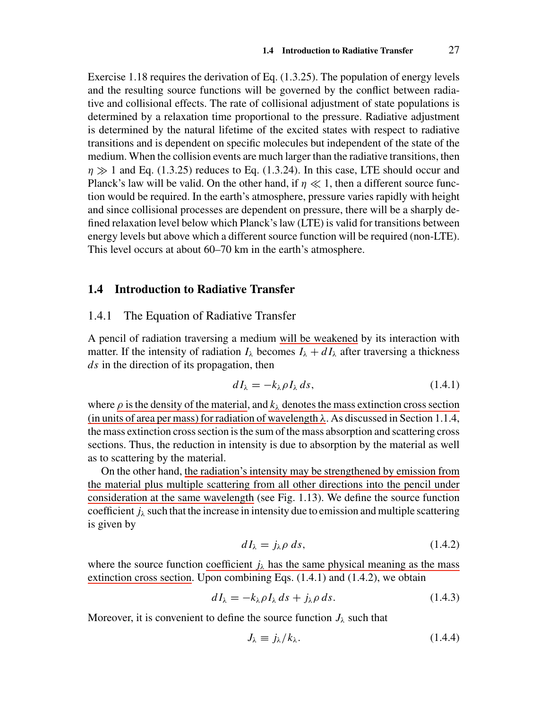Exercise 1.18 requires the derivation of Eq. (1.3.25). The population of energy levels and the resulting source functions will be governed by the conflict between radiative and collisional effects. The rate of collisional adjustment of state populations is determined by a relaxation time proportional to the pressure. Radiative adjustment is determined by the natural lifetime of the excited states with respect to radiative transitions and is dependent on specific molecules but independent of the state of the medium. When the collision events are much larger than the radiative transitions, then  $\eta \gg 1$  and Eq. (1.3.25) reduces to Eq. (1.3.24). In this case, LTE should occur and Planck's law will be valid. On the other hand, if  $\eta \ll 1$ , then a different source function would be required. In the earth's atmosphere, pressure varies rapidly with height and since collisional processes are dependent on pressure, there will be a sharply defined relaxation level below which Planck's law (LTE) is valid for transitions between energy levels but above which a different source function will be required (non-LTE). This level occurs at about 60–70 km in the earth's atmosphere.

# **1.4 Introduction to Radiative Transfer**

# 1.4.1 The Equation of Radiative Transfer

A pencil of radiation traversing a medium will be weakened by its interaction with matter. If the intensity of radiation  $I_\lambda$  becomes  $I_\lambda + dI_\lambda$  after traversing a thickness *ds* in the direction of its propagation, then

$$
dI_{\lambda} = -k_{\lambda} \rho I_{\lambda} ds, \qquad (1.4.1)
$$

where  $\rho$  is the density of the material, and  $k_{\lambda}$  denotes the mass extinction cross section (in units of area per mass) for radiation of wavelength  $\lambda$ . As discussed in Section 1.1.4, the mass extinction cross section is the sum of the mass absorption and scattering cross sections. Thus, the reduction in intensity is due to absorption by the material as well as to scattering by the material.

On the other hand, the radiation's intensity may be strengthened by emission from the material plus multiple scattering from all other directions into the pencil under consideration at the same wavelength (see Fig. 1.13). We define the source function coefficient  $j_{\lambda}$  such that the increase in intensity due to emission and multiple scattering is given by

$$
dI_{\lambda} = j_{\lambda} \rho \, ds, \tag{1.4.2}
$$

where the source function coefficient  $j_{\lambda}$  has the same physical meaning as the mass extinction cross section. Upon combining Eqs. (1.4.1) and (1.4.2), we obtain

$$
dI_{\lambda} = -k_{\lambda} \rho I_{\lambda} ds + j_{\lambda} \rho ds. \qquad (1.4.3)
$$

Moreover, it is convenient to define the source function  $J_{\lambda}$  such that

$$
J_{\lambda} \equiv j_{\lambda}/k_{\lambda}.
$$
 (1.4.4)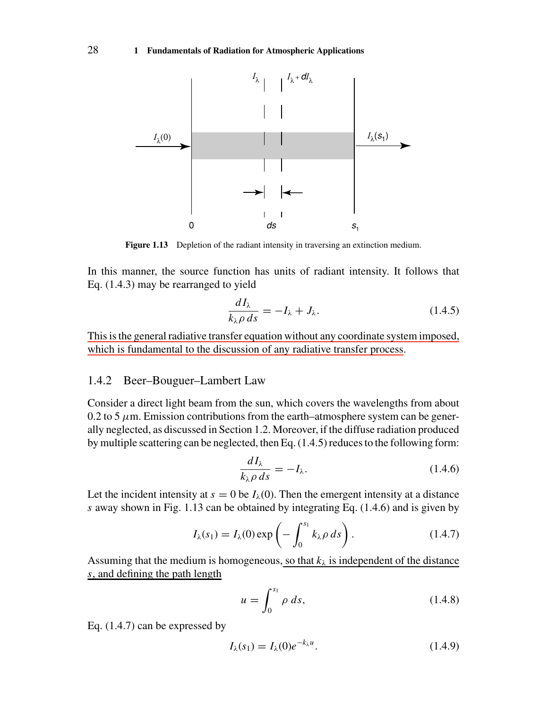

**Figure 1.13** Depletion of the radiant intensity in traversing an extinction medium.

In this manner, the source function has units of radiant intensity. It follows that Eq. (1.4.3) may be rearranged to yield

$$
\frac{dI_{\lambda}}{k_{\lambda}\rho \, ds} = -I_{\lambda} + J_{\lambda}.\tag{1.4.5}
$$

This is the general radiative transfer equation without any coordinate system imposed, which is fundamental to the discussion of any radiative transfer process.

#### 1.4.2 Beer–Bouguer–Lambert Law

Consider a direct light beam from the sun, which covers the wavelengths from about  $0.2$  to 5  $\mu$ m. Emission contributions from the earth–atmosphere system can be generally neglected, as discussed in Section 1.2. Moreover, if the diffuse radiation produced by multiple scattering can be neglected, then Eq. (1.4.5) reduces to the following form:

$$
\frac{dI_{\lambda}}{k_{\lambda}\rho ds} = -I_{\lambda}.\tag{1.4.6}
$$

Let the incident intensity at  $s = 0$  be  $I_\lambda(0)$ . Then the emergent intensity at a distance *s* away shown in Fig. 1.13 can be obtained by integrating Eq. (1.4.6) and is given by

$$
I_{\lambda}(s_1) = I_{\lambda}(0) \exp\left(-\int_0^{s_1} k_{\lambda} \rho \, ds\right). \tag{1.4.7}
$$

Assuming that the medium is homogeneous, so that  $k_{\lambda}$  is independent of the distance *s*, and defining the path length

$$
u = \int_0^{s_1} \rho \, ds,\tag{1.4.8}
$$

Eq. (1.4.7) can be expressed by

$$
I_{\lambda}(s_1) = I_{\lambda}(0)e^{-k_{\lambda}u}.
$$
\n(1.4.9)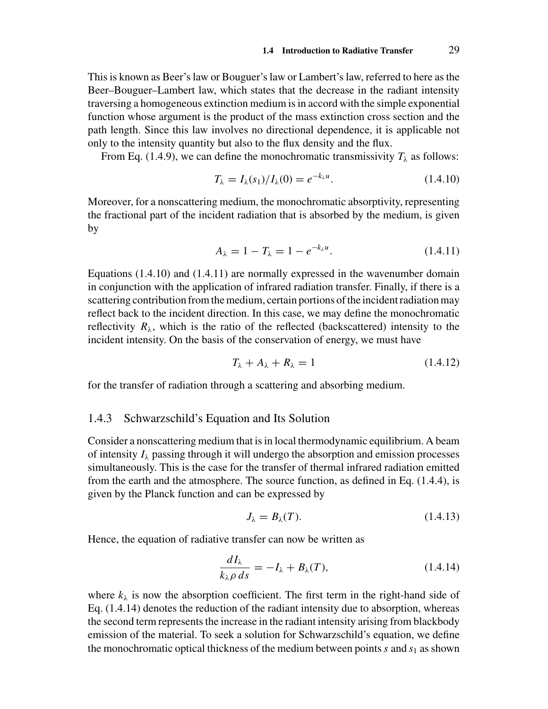This is known as Beer's law or Bouguer's law or Lambert's law, referred to here as the Beer–Bouguer–Lambert law, which states that the decrease in the radiant intensity traversing a homogeneous extinction medium is in accord with the simple exponential function whose argument is the product of the mass extinction cross section and the path length. Since this law involves no directional dependence, it is applicable not only to the intensity quantity but also to the flux density and the flux.

From Eq. (1.4.9), we can define the monochromatic transmissivity  $T_{\lambda}$  as follows:

$$
T_{\lambda} = I_{\lambda}(s_1) / I_{\lambda}(0) = e^{-k_{\lambda} u}.
$$
 (1.4.10)

Moreover, for a nonscattering medium, the monochromatic absorptivity, representing the fractional part of the incident radiation that is absorbed by the medium, is given by

$$
A_{\lambda} = 1 - T_{\lambda} = 1 - e^{-k_{\lambda}u}.
$$
 (1.4.11)

Equations (1.4.10) and (1.4.11) are normally expressed in the wavenumber domain in conjunction with the application of infrared radiation transfer. Finally, if there is a scattering contribution from the medium, certain portions of the incident radiation may reflect back to the incident direction. In this case, we may define the monochromatic reflectivity  $R_{\lambda}$ , which is the ratio of the reflected (backscattered) intensity to the incident intensity. On the basis of the conservation of energy, we must have

$$
T_{\lambda} + A_{\lambda} + R_{\lambda} = 1 \tag{1.4.12}
$$

for the transfer of radiation through a scattering and absorbing medium.

### 1.4.3 Schwarzschild's Equation and Its Solution

Consider a nonscattering medium that is in local thermodynamic equilibrium. A beam of intensity  $I_{\lambda}$  passing through it will undergo the absorption and emission processes simultaneously. This is the case for the transfer of thermal infrared radiation emitted from the earth and the atmosphere. The source function, as defined in Eq. (1.4.4), is given by the Planck function and can be expressed by

$$
J_{\lambda} = B_{\lambda}(T). \tag{1.4.13}
$$

Hence, the equation of radiative transfer can now be written as

$$
\frac{dI_{\lambda}}{k_{\lambda}\rho \, ds} = -I_{\lambda} + B_{\lambda}(T),\tag{1.4.14}
$$

where  $k_{\lambda}$  is now the absorption coefficient. The first term in the right-hand side of Eq. (1.4.14) denotes the reduction of the radiant intensity due to absorption, whereas the second term represents the increase in the radiant intensity arising from blackbody emission of the material. To seek a solution for Schwarzschild's equation, we define the monochromatic optical thickness of the medium between points  $s$  and  $s_1$  as shown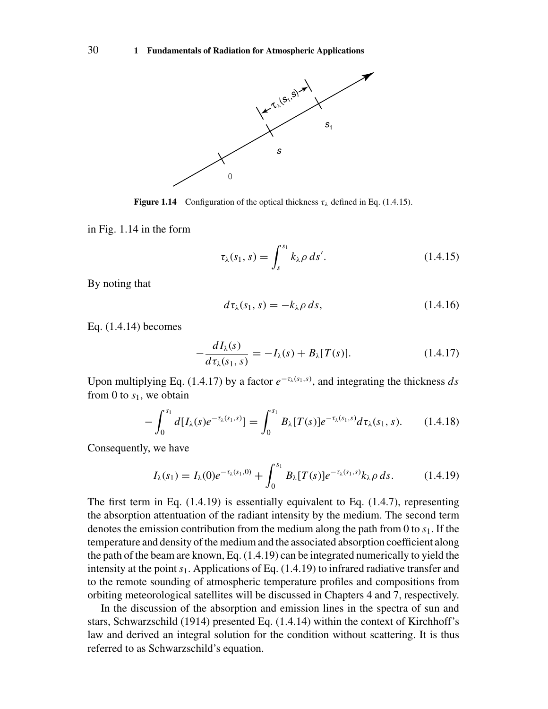

**Figure 1.14** Configuration of the optical thickness  $\tau_{\lambda}$  defined in Eq. (1.4.15).

in Fig. 1.14 in the form

$$
\tau_{\lambda}(s_1, s) = \int_s^{s_1} k_{\lambda} \rho \, ds'. \tag{1.4.15}
$$

By noting that

$$
d\tau_{\lambda}(s_1, s) = -k_{\lambda} \rho \, ds,\tag{1.4.16}
$$

Eq. (1.4.14) becomes

$$
-\frac{dI_{\lambda}(s)}{d\tau_{\lambda}(s_1,s)} = -I_{\lambda}(s) + B_{\lambda}[T(s)].
$$
\n(1.4.17)

Upon multiplying Eq. (1.4.17) by a factor  $e^{-\tau_{\lambda}(s_1, s)}$ , and integrating the thickness *ds* from 0 to  $s_1$ , we obtain

$$
-\int_0^{s_1} d[I_\lambda(s)e^{-\tau_\lambda(s_1,s)}] = \int_0^{s_1} B_\lambda[T(s)]e^{-\tau_\lambda(s_1,s)}d\tau_\lambda(s_1,s).
$$
 (1.4.18)

Consequently, we have

$$
I_{\lambda}(s_1) = I_{\lambda}(0)e^{-\tau_{\lambda}(s_1,0)} + \int_0^{s_1} B_{\lambda}[T(s)]e^{-\tau_{\lambda}(s_1,s)}k_{\lambda}\rho ds.
$$
 (1.4.19)

The first term in Eq. (1.4.19) is essentially equivalent to Eq. (1.4.7), representing the absorption attentuation of the radiant intensity by the medium. The second term denotes the emission contribution from the medium along the path from  $0$  to  $s<sub>1</sub>$ . If the temperature and density of the medium and the associated absorption coefficient along the path of the beam are known, Eq. (1.4.19) can be integrated numerically to yield the intensity at the point *s*1. Applications of Eq. (1.4.19) to infrared radiative transfer and to the remote sounding of atmospheric temperature profiles and compositions from orbiting meteorological satellites will be discussed in Chapters 4 and 7, respectively.

In the discussion of the absorption and emission lines in the spectra of sun and stars, Schwarzschild (1914) presented Eq. (1.4.14) within the context of Kirchhoff's law and derived an integral solution for the condition without scattering. It is thus referred to as Schwarzschild's equation.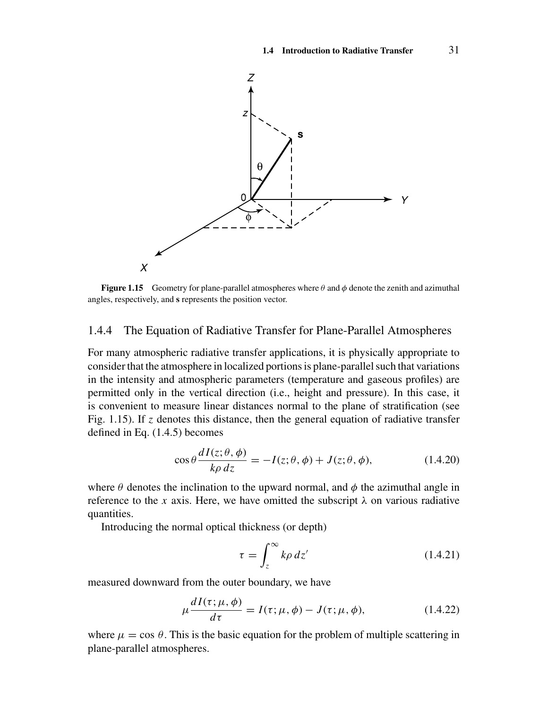

**Figure 1.15** Geometry for plane-parallel atmospheres where  $\theta$  and  $\phi$  denote the zenith and azimuthal angles, respectively, and **s** represents the position vector.

# 1.4.4 The Equation of Radiative Transfer for Plane-Parallel Atmospheres

For many atmospheric radiative transfer applications, it is physically appropriate to consider that the atmosphere in localized portions is plane-parallel such that variations in the intensity and atmospheric parameters (temperature and gaseous profiles) are permitted only in the vertical direction (i.e., height and pressure). In this case, it is convenient to measure linear distances normal to the plane of stratification (see Fig. 1.15). If *z* denotes this distance, then the general equation of radiative transfer defined in Eq. (1.4.5) becomes

$$
\cos\theta \frac{dI(z;\theta,\phi)}{k\rho dz} = -I(z;\theta,\phi) + J(z;\theta,\phi),\tag{1.4.20}
$$

where  $\theta$  denotes the inclination to the upward normal, and  $\phi$  the azimuthal angle in reference to the *x* axis. Here, we have omitted the subscript  $\lambda$  on various radiative quantities.

Introducing the normal optical thickness (or depth)

$$
\tau = \int_{z}^{\infty} k\rho \, dz' \tag{1.4.21}
$$

measured downward from the outer boundary, we have

$$
\mu \frac{dI(\tau; \mu, \phi)}{d\tau} = I(\tau; \mu, \phi) - J(\tau; \mu, \phi), \qquad (1.4.22)
$$

where  $\mu = \cos \theta$ . This is the basic equation for the problem of multiple scattering in plane-parallel atmospheres.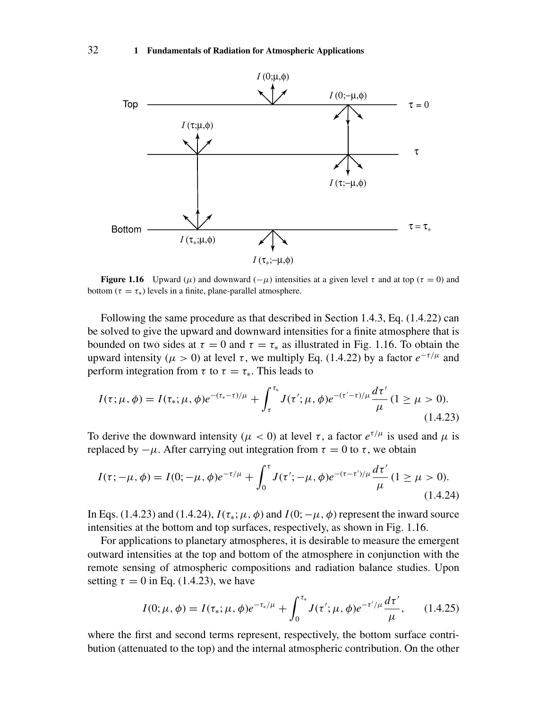

**Figure 1.16** Upward ( $\mu$ ) and downward (− $\mu$ ) intensities at a given level  $\tau$  and at top ( $\tau = 0$ ) and bottom ( $\tau = \tau_*$ ) levels in a finite, plane-parallel atmosphere.

Following the same procedure as that described in Section 1.4.3, Eq. (1.4.22) can be solved to give the upward and downward intensities for a finite atmosphere that is bounded on two sides at  $\tau = 0$  and  $\tau = \tau_*$  as illustrated in Fig. 1.16. To obtain the upward intensity ( $\mu > 0$ ) at level  $\tau$ , we multiply Eq. (1.4.22) by a factor  $e^{-\tau/\mu}$  and perform integration from  $\tau$  to  $\tau = \tau_*$ . This leads to

$$
I(\tau; \mu, \phi) = I(\tau_*, \mu, \phi) e^{-(\tau_* - \tau)/\mu} + \int_{\tau}^{\tau_*} J(\tau'; \mu, \phi) e^{-(\tau' - \tau)/\mu} \frac{d\tau'}{\mu} (1 \ge \mu > 0).
$$
\n(1.4.23)

To derive the downward intensity ( $\mu$  < 0) at level  $\tau$ , a factor  $e^{\tau/\mu}$  is used and  $\mu$  is replaced by  $-\mu$ . After carrying out integration from  $\tau = 0$  to  $\tau$ , we obtain

$$
I(\tau; -\mu, \phi) = I(0; -\mu, \phi)e^{-\tau/\mu} + \int_0^{\tau} J(\tau'; -\mu, \phi)e^{-(\tau - \tau')/\mu} \frac{d\tau'}{\mu} (1 \ge \mu > 0).
$$
\n(1.4.24)

In Eqs. (1.4.23) and (1.4.24),  $I(\tau_*, \mu, \phi)$  and  $I(0; -\mu, \phi)$  represent the inward source intensities at the bottom and top surfaces, respectively, as shown in Fig. 1.16.

For applications to planetary atmospheres, it is desirable to measure the emergent outward intensities at the top and bottom of the atmosphere in conjunction with the remote sensing of atmospheric compositions and radiation balance studies. Upon setting  $\tau = 0$  in Eq. (1.4.23), we have

$$
I(0; \mu, \phi) = I(\tau_*; \mu, \phi)e^{-\tau_*/\mu} + \int_0^{\tau_*} J(\tau'; \mu, \phi)e^{-\tau'/\mu} \frac{d\tau'}{\mu}, \qquad (1.4.25)
$$

where the first and second terms represent, respectively, the bottom surface contribution (attenuated to the top) and the internal atmospheric contribution. On the other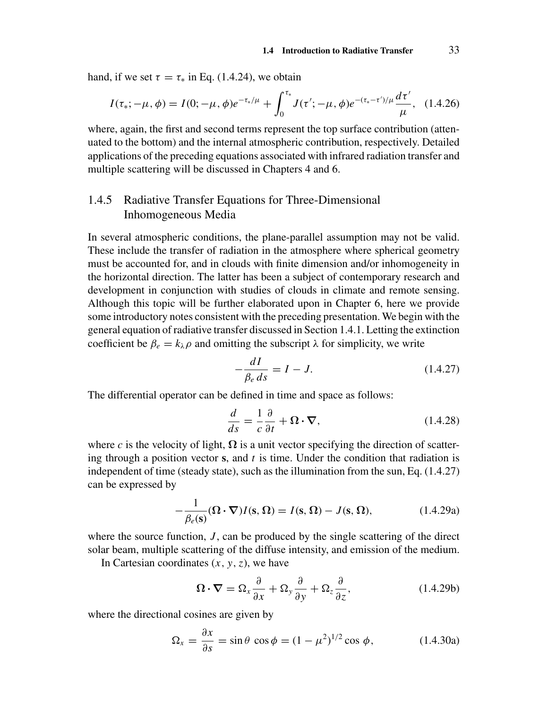hand, if we set  $\tau = \tau_*$  in Eq. (1.4.24), we obtain

$$
I(\tau_*; -\mu, \phi) = I(0; -\mu, \phi)e^{-\tau_*/\mu} + \int_0^{\tau_*} J(\tau'; -\mu, \phi)e^{-(\tau_*-\tau')/\mu}\frac{d\tau'}{\mu}, \quad (1.4.26)
$$

where, again, the first and second terms represent the top surface contribution (attenuated to the bottom) and the internal atmospheric contribution, respectively. Detailed applications of the preceding equations associated with infrared radiation transfer and multiple scattering will be discussed in Chapters 4 and 6.

# 1.4.5 Radiative Transfer Equations for Three-Dimensional Inhomogeneous Media

In several atmospheric conditions, the plane-parallel assumption may not be valid. These include the transfer of radiation in the atmosphere where spherical geometry must be accounted for, and in clouds with finite dimension and/or inhomogeneity in the horizontal direction. The latter has been a subject of contemporary research and development in conjunction with studies of clouds in climate and remote sensing. Although this topic will be further elaborated upon in Chapter 6, here we provide some introductory notes consistent with the preceding presentation. We begin with the general equation of radiative transfer discussed in Section 1.4.1. Letting the extinction coefficient be  $\beta_e = k_\lambda \rho$  and omitting the subscript  $\lambda$  for simplicity, we write

$$
-\frac{dI}{\beta_e ds} = I - J. \tag{1.4.27}
$$

The differential operator can be defined in time and space as follows:

$$
\frac{d}{ds} = \frac{1}{c} \frac{\partial}{\partial t} + \Omega \cdot \nabla, \qquad (1.4.28)
$$

where *c* is the velocity of light,  $\Omega$  is a unit vector specifying the direction of scattering through a position vector **s**, and *t* is time. Under the condition that radiation is independent of time (steady state), such as the illumination from the sun, Eq. (1.4.27) can be expressed by

$$
-\frac{1}{\beta_e(\mathbf{s})}(\mathbf{\Omega}\cdot\nabla)I(\mathbf{s},\mathbf{\Omega})=I(\mathbf{s},\mathbf{\Omega})-J(\mathbf{s},\mathbf{\Omega}),\tag{1.4.29a}
$$

where the source function, *J*, can be produced by the single scattering of the direct solar beam, multiple scattering of the diffuse intensity, and emission of the medium.

In Cartesian coordinates (*x, y,z*), we have

$$
\Omega \cdot \nabla = \Omega_x \frac{\partial}{\partial x} + \Omega_y \frac{\partial}{\partial y} + \Omega_z \frac{\partial}{\partial z}, \qquad (1.4.29b)
$$

where the directional cosines are given by

$$
\Omega_x = \frac{\partial x}{\partial s} = \sin \theta \, \cos \phi = (1 - \mu^2)^{1/2} \cos \phi, \tag{1.4.30a}
$$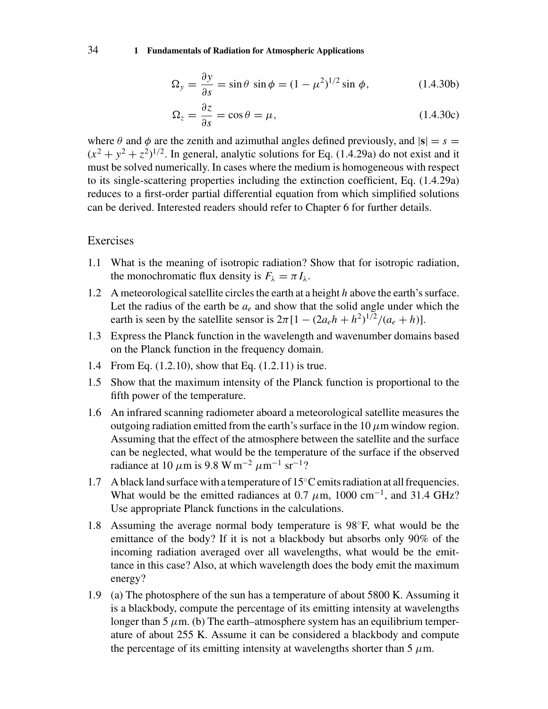#### 34 **1 Fundamentals of Radiation for Atmospheric Applications**

$$
\Omega_y = \frac{\partial y}{\partial s} = \sin \theta \, \sin \phi = (1 - \mu^2)^{1/2} \sin \phi, \tag{1.4.30b}
$$

$$
\Omega_z = \frac{\partial z}{\partial s} = \cos \theta = \mu, \qquad (1.4.30c)
$$

where  $\theta$  and  $\phi$  are the zenith and azimuthal angles defined previously, and  $|\mathbf{s}| = s$  $(x^2 + y^2 + z^2)^{1/2}$ . In general, analytic solutions for Eq. (1.4.29a) do not exist and it must be solved numerically. In cases where the medium is homogeneous with respect to its single-scattering properties including the extinction coefficient, Eq. (1.4.29a) reduces to a first-order partial differential equation from which simplified solutions can be derived. Interested readers should refer to Chapter 6 for further details.

#### Exercises

- 1.1 What is the meaning of isotropic radiation? Show that for isotropic radiation, the monochromatic flux density is  $F_{\lambda} = \pi I_{\lambda}$ .
- 1.2 A meteorological satellite circles the earth at a height *h* above the earth's surface. Let the radius of the earth be  $a_e$  and show that the solid angle under which the earth is seen by the satellite sensor is  $2\pi [1 - (2a_e h + h^2)^{1/2}/(a_e + h)].$
- 1.3 Express the Planck function in the wavelength and wavenumber domains based on the Planck function in the frequency domain.
- 1.4 From Eq. (1.2.10), show that Eq. (1.2.11) is true.
- 1.5 Show that the maximum intensity of the Planck function is proportional to the fifth power of the temperature.
- 1.6 An infrared scanning radiometer aboard a meteorological satellite measures the outgoing radiation emitted from the earth's surface in the 10  $\mu$ m window region. Assuming that the effect of the atmosphere between the satellite and the surface can be neglected, what would be the temperature of the surface if the observed radiance at 10  $\mu$ m is 9.8 W m<sup>-2</sup>  $\mu$ m<sup>-1</sup> sr<sup>-1</sup>?
- 1.7 A black land surface with a temperature of  $15^{\circ}$ C emits radiation at all frequencies. What would be the emitted radiances at 0.7  $\mu$ m, 1000 cm<sup>-1</sup>, and 31.4 GHz? Use appropriate Planck functions in the calculations.
- 1.8 Assuming the average normal body temperature is 98°F, what would be the emittance of the body? If it is not a blackbody but absorbs only 90% of the incoming radiation averaged over all wavelengths, what would be the emittance in this case? Also, at which wavelength does the body emit the maximum energy?
- 1.9 (a) The photosphere of the sun has a temperature of about 5800 K. Assuming it is a blackbody, compute the percentage of its emitting intensity at wavelengths longer than  $5 \mu$ m. (b) The earth–atmosphere system has an equilibrium temperature of about 255 K. Assume it can be considered a blackbody and compute the percentage of its emitting intensity at wavelengths shorter than  $5 \mu m$ .